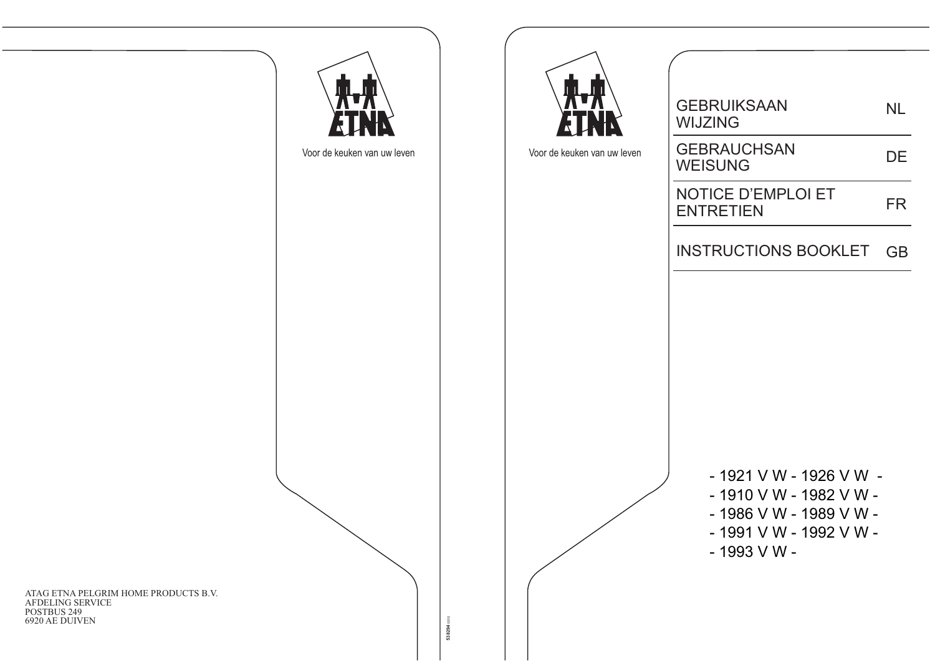**GEBRUIKSAAN NL WIJZING GEBRAUCHSAN** Voor de keuken van uw leven Voor de keuken van uw leven **DE WEISUNG NOTICE D'EMPLOI ET FR ENTRETIEN INSTRUCTIONS BOOKLET** GB - 1921 V W - 1926 V W -- 1910 V W - 1982 V W -- 1986 V W - 1989 V W -- 1991 V W - 1992 V W -- 1993 V W -538294 0310

ATAG ETNA PELGRIM HOME PRODUCTS B.V. AFDELING SERVICE POSTBUS 249 6920 AE DUIVEN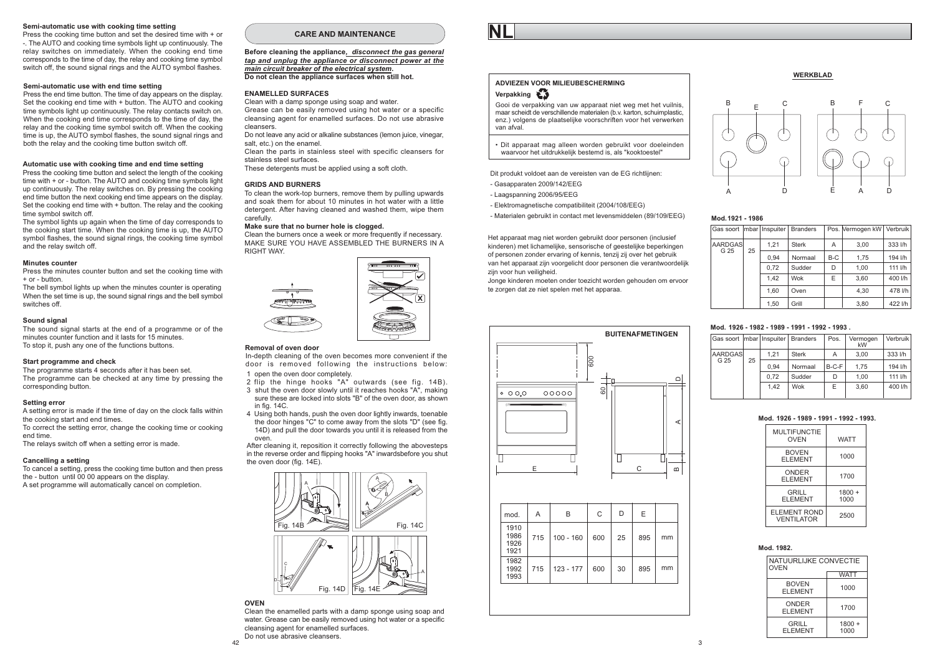#### Semi-automatic use with cooking time setting

Press the cooking time button and set the desired time with + or -. The AUTO and cooking time symbols light up continuously. The relay switches on immediately. When the cooking end time corresponds to the time of day, the relay and cooking time symbol switch off, the sound signal rings and the AUTO symbol flashes.

#### Semi-automatic use with end time setting

Press the end time button. The time of day appears on the display. Set the cooking end time with + button. The AUTO and cooking time symbols light up continuously. The relay contacts switch on When the cooking end time corresponds to the time of day, the relay and the cooking time symbol switch off. When the cooking time is up, the AUTO symbol flashes, the sound signal rings and both the relay and the cooking time button switch off.

#### Automatic use with cooking time and end time setting

Press the cooking time button and select the length of the cooking time with + or - button. The AUTO and cooking time symbols light up continuously. The relay switches on. By pressing the cooking end time button the next cooking end time appears on the display. Set the cooking end time with + button. The relay and the cooking time symbol switch off.

The symbol lights up again when the time of day corresponds to the cooking start time. When the cooking time is up, the AUTO symbol flashes, the sound signal rings, the cooking time symbol and the relay switch off

#### Minutes counter

Press the minutes counter button and set the cooking time with + or - button.

The bell symbol lights up when the minutes counter is operating When the set time is up, the sound signal rings and the bell symbol switches off

#### Sound signal

The sound signal starts at the end of a programme or of the minutes counter function and it lasts for 15 minutes To stop it, push any one of the functions buttons.

#### Start programme and check

The programme starts 4 seconds after it has been set. The programme can be checked at any time by pressing the corresponding button.

#### Setting error

A setting error is made if the time of day on the clock falls within the cooking start and end times. To correct the setting error, change the cooking time or cooking

end time The relays switch off when a setting error is made.

#### Cancelling a setting

To cancel a setting, press the cooking time button and then press the - button until 00 00 appears on the display. A set programme will automatically cancel on completion.

#### CARE AND MAINTENANCE

Before cleaning the appliance, disconnect the gas general tap and unplug the appliance or disconnect power at the main circuit breaker of the electrical system. Do not clean the appliance surfaces when still hot.

#### **ENAMELLED SURFACES**

Clean with a damp sponge using soap and water. Grease can be easily removed using hot water or a specific cleansing agent for enamelled surfaces. Do not use abrasive cleansers

Do not leave any acid or alkaline substances (lemon juice, vinegar, salt etc.) on the enamel

Clean the parts in stainless steel with specific cleansers for stainless steel surfaces

These detergents must be applied using a soft cloth.

#### **GRIDS AND BURNERS**

To clean the work-top burners, remove them by pulling upwards and soak them for about 10 minutes in hot water with a little detergent. After having cleaned and washed them, wipe them carefully.

#### Make sure that no burner hole is clogged.

Clean the burners once a week or more frequently if necessary. MAKE SURE YOU HAVE ASSEMBLED THE BURNERS IN A **RIGHT WAY.** 



#### Removal of oven door

In-depth cleaning of the oven becomes more convenient if the door is removed following the instructions below: 1 open the oven door completely

- 2 flip the hinge hooks "A" outwards (see fig. 14B).
- 3 shut the oven door slowly until it reaches hooks "A", making sure these are locked into slots "B" of the oven door, as shown in fig. 14C.
- 4 Using both hands, push the oven door lightly inwards, toenable the door hinges "C" to come away from the slots "D" (see fig. 14D) and pull the door towards you until it is released from the oven

After cleaning it, reposition it correctly following the abovesteps in the reverse order and flipping hooks "A" inwardsbefore you shut the oven door (fig. 14E).



#### **OVEN**

Clean the enamelled parts with a damp sponge using soap and water. Grease can be easily removed using hot water or a specific cleansing agent for enamelled surfaces.

Do not use abrasive cleansers

## ADVIEZEN VOOR MILIEUBESCHERMING Verpakking

Gooi de verpakking van uw apparaat niet weg met het vuilnis maar scheidt de verschillende materialen (b v karton, schuimplastic enz ) volgens de plaatselijke voorschriften voor het verwerken van afval

· Dit apparaat mag alleen worden gebruikt voor doeleinden waarvoor het uitdrukkelijk bestemd is als "kooktoestel"

Dit produkt voldoet aan de vereisten van de EG richtlijnen:

- Gasapparaten 2009/142/EEG

- Laagspanning 2006/95/EEG
- Elektromagnetische compatibiliteit (2004/108/EEG)
- Materialen gebruikt in contact met levensmiddelen (89/109/EEG)

Het apparaat mag niet worden gebruikt door personen (inclusief kinderen) met lichamelijke, sensorische of geestelijke beperkingen of personen zonder ervaring of kennis, tenzij zij over het gebruik van het apparaat zijn voorgelicht door personen die verantwoordelijk zijn voor hun veiligheid.

Jonge kinderen moeten onder toezicht worden gehouden om ervoor te zorgen dat ze niet spelen met het apparaa.



| mod.                         | A   | B           | C   | D  | E   |    |
|------------------------------|-----|-------------|-----|----|-----|----|
| 1910<br>1986<br>1926<br>1921 | 715 | $100 - 160$ | 600 | 25 | 895 | mm |
| 1982<br>1992<br>1993         | 715 | $123 - 177$ | 600 | 30 | 895 | mm |

#### **WERKBLAD**



#### Mod. 1921 - 1986

| Gas soort       |    | mbar   Inspuiter | <b>Branders</b> |     | Pos. Vermogen kW | Verbruik |
|-----------------|----|------------------|-----------------|-----|------------------|----------|
| AARDGAS<br>G 25 | 25 | 1.21             | <b>Sterk</b>    | Α   | 3.00             | 333 l/h  |
|                 |    | 0.94             | Normaal         | B-C | 1.75             | 194 l/h  |
|                 |    | 0.72             | Sudder          | D   | 1.00             | 111 l/h  |
|                 |    | 1.42             | Wok             | E   | 3.60             | 400 l/h  |
|                 |    | 1.60             | Oven            |     | 4.30             | 478 l/h  |
|                 |    | 1.50             | Grill           |     | 3.80             | 422 l/h  |

#### Mod 1926 - 1982 - 1989 - 1991 - 1992 - 1993

| Gas soort   mbar   Inspuiter   Branders |      |              |        | Pos. | Vermogen<br>kW | Verbruik |
|-----------------------------------------|------|--------------|--------|------|----------------|----------|
| <b>AARDGAS</b><br>25<br>G 25            | 1.21 | <b>Sterk</b> | Α      | 3.00 | 333 l/h        |          |
|                                         | 0.94 | Normaal      | B-C-F  | 1.75 | 194 l/h        |          |
|                                         |      | 0.72         | Sudder | D    | 1.00           | 111 l/h  |
|                                         |      | 1.42         | Wok    | E    | 3.60           | 400 l/h  |

#### Mod. 1926 - 1989 - 1991 - 1992 - 1993

| <b>WATT</b>      |
|------------------|
| 1000             |
| 1700             |
| $1800 +$<br>1000 |
| 2500             |
|                  |

#### Mod. 1982.

| NATUURLIJKE CONVECTIE<br><b>OVEN</b> |                  |  |  |  |
|--------------------------------------|------------------|--|--|--|
| <b>WATT</b>                          |                  |  |  |  |
| <b>BOVEN</b><br><b>ELEMENT</b>       | 1000             |  |  |  |
| ONDER<br><b>ELEMENT</b>              | 1700             |  |  |  |
| GRILL<br><b>ELEMENT</b>              | $1800 +$<br>1000 |  |  |  |

 $\overline{A}$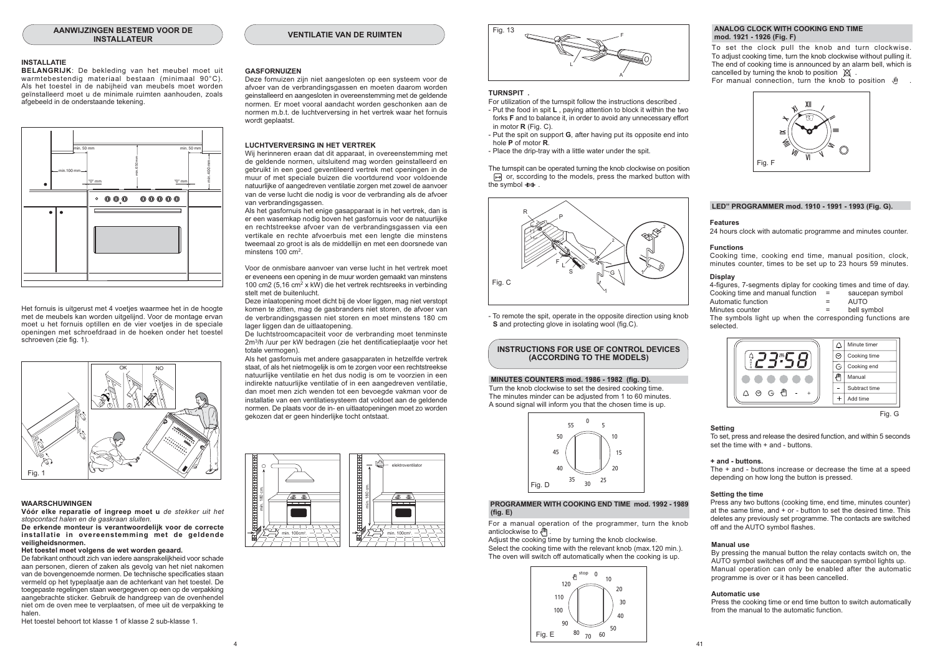#### **INSTALLATIE**

BELANGRIJK: De bekleding van het meubel moet uit warmtebestendig materiaal bestaan (minimaal 90°C). Als het toestel in de nabijheid van meubels moet worden geïnstalleerd moet u de minimale ruimten aanhouden zoals afgebeeld in de onderstaande tekening.



Het fornuis is uitgerust met 4 voeties waarmee het in de hoogte met de meubels kan worden uitgelijnd. Voor de montage ervan moet u het fornuis optillen en de vier voeties in de speciale openingen met schroefdraad in de hoeken onder het toestel schroeven (zie fig. 1).



#### **WAARSCHUWINGEN**

Vóór elke reparatie of ingreep moet u de stekker uit het stoncontact halen en de gaskraan sluiten

De erkende monteur is verantwoordelijk voor de correcte installatie in overeenstemming met de geldende veiligheidsnormen.

#### Het toestel moet volgens de wet worden geaard.

De fabrikant onthoudt zich van iedere aansprakelijkheid voor schade aan personen, dieren of zaken als gevolg van het niet nakomen van de bovengenoemde normen. De technische specificaties staan vermeld op het typeplaatje aan de achterkant van het toestel. De toegepaste regelingen staan weergegeven op een op de verpakking aangebrachte sticker. Gebruik de handgreep van de ovenhendel niet om de oven mee te verplaatsen, of mee uit de verpakking te halen

Het toestel behoort tot klasse 1 of klasse 2 sub-klasse 1.

#### **GASFORNUIZEN**

Deze fornuizen zijn niet aangesloten op een systeem voor de afvoer van de verbrandingsgassen en moeten daarom worden geinstalleerd en aangesloten in overeenstemming met de geldende normen. Er moet vooral aandacht worden geschonken aan de normen m.b.t. de luchtverversing in het vertrek waar het fornuis wordt geplaatst.

**VENTILATIE VAN DE RUIMTEN** 

#### **LUCHTVERVERSING IN HET VERTREK**

Wij herinneren eraan dat dit annaraat in overeenstemming met de geldende normen, uitsluitend mag worden geinstalleerd en gebruikt in een goed geventileerd vertrek met openingen in de muur of met speciale buizen die voortdurend voor voldoende natuurlijke of aangedreven ventilatie zorgen met zowel de aanvoer van de verse lucht die nodig is voor de verbranding als de afvoer van verbrandingsgassen.

Als het gasfornuis het enige gasapparaat is in het vertrek, dan is er een wasemkap nodig boven het gasfornuis voor de natuurlijke en rechtstreekse afvoer van de verbrandingsgassen via een vertikale en rechte afvoerbuis met een lengte die minstens tweemaal zo groot is als de middellijn en met een doorsnede van minstens  $100 \text{ cm}^2$ 

Voor de onmisbare aanvoer van verse lucht in het vertrek moet er eveneens een opening in de muur worden gemaakt van minstens 100 cm2 (5,16 cm<sup>2</sup> x kW) die het vertrek rechtsreeks in verbinding stelt met de buitenlucht

Deze inlaatopening moet dicht bij de vloer liggen, mag niet verstopt komen te zitten, mag de gasbranders niet storen, de afvoer van de verbrandingsgassen niet storen en moet minstens 180 cm lager liggen dan de uitlaatopening.

De luchtstroomcapaciteit voor de verbranding moet tenminste 2m<sup>3</sup>/h /uur per kW bedragen (zie het dentificatieplaatje voor het totale vermonen)

Als het gasfornuis met andere gasapparaten in hetzelfde vertrek staat, of als het nietmogelijk is om te zorgen voor een rechtstreekse natuurlijke ventilatie en het dus nodig is om te voorzien in een indirekte natuurlijke ventilatie of in een aangedreven ventilatie. dan moet men zich wenden tot een bevoegde vakman voor de installatie van een ventilatiesysteem dat voldoet aan de geldende normen. De plaats voor de in- en uitlaatopeningen moet zo worden gekozen dat er geen hinderlijke tocht ontstaat





#### TURNSPIT.

For utilization of the turnspit follow the instructions described - Put the food in spit L, paying attention to block it within the two

- forks F and to balance it, in order to avoid any unnecessary effort in motor  $R$  (Fig. C). - Put the spit on support G, after having put its opposite end into
- hole **P** of motor **R**.
- Place the drip-tray with a little water under the spit.

The turnspit can be operated turning the knob clockwise on position □ or, sccording to the models, press the marked button with the symbol  $\leftrightarrow$ 



- To remote the spit, operate in the opposite direction using knob S and protecting glove in isolating wool (fig.C).

#### **INSTRUCTIONS FOR USE OF CONTROL DEVICES** (ACCORDING TO THE MODELS)

#### MINUTES COUNTERS mod. 1986 - 1982 (fig. D).

Turn the knob clockwise to set the desired cooking time. The minutes minder can be adjusted from 1 to 60 minutes A sound signal will inform you that the chosen time is up.



#### PROGRAMMER WITH COOKING END TIME mod. 1992 - 1989  $(fia, E)$

For a manual operation of the programmer, turn the knob anticlockwise to  $\sqrt{m}$ 

Adjust the cooking time by turning the knob clockwise. Select the cooking time with the relevant knob (max.120 min.). The oven will switch off automatically when the cooking is up.



#### ANALOG CLOCK WITH COOKING END TIME mod. 1921 - 1926 (Fig. F)

To set the clock pull the knob and turn clockwise. To adjust cooking time, turn the knob clockwise without pulling it The end of cooking time is announced by an alarm hell which is cancelled by turning the knob to position  $\mathbb{X}$ 

For manual connection, turn the knob to position  $\mathbb{P}$ 



#### LED" PROGRAMMER mod. 1910 - 1991 - 1993 (Fig. G).

#### Foatures

24 hours clock with automatic programme and minutes counter.

#### **Functions**

Cooking time, cooking end time, manual position, clock. minutes counter times to be set up to 23 hours 59 minutes

#### Display

| 4-figures, 7-segments diplay for cooking times and time of day. |     |                 |
|-----------------------------------------------------------------|-----|-----------------|
| Cooking time and manual function                                | $=$ | saucepan symbol |
| Automatic function                                              | $=$ | <b>AUTO</b>     |
| Minutes counter                                                 | =   | bell symbol     |
|                                                                 |     | $\cdots$        |

The symbols light up when the corresponding functions are selected





#### **Setting**

To set, press and release the desired function, and within 5 seconds set the time with + and - buttons

#### + and - buttons.

The + and - buttons increase or decrease the time at a speed depending on how long the button is pressed.

#### Setting the time

Press any two buttons (cooking time, end time, minutes counter) at the same time, and + or - button to set the desired time. This deletes any previously set programme. The contacts are switched off and the AUTO symbol flashes.

#### Manual use

By pressing the manual button the relay contacts switch on, the AUTO symbol switches off and the saucepan symbol lights up. Manual operation can only be enabled after the automatic programme is over or it has been cancelled

#### **Automatic use**

Press the cooking time or end time button to switch automatically from the manual to the automatic function.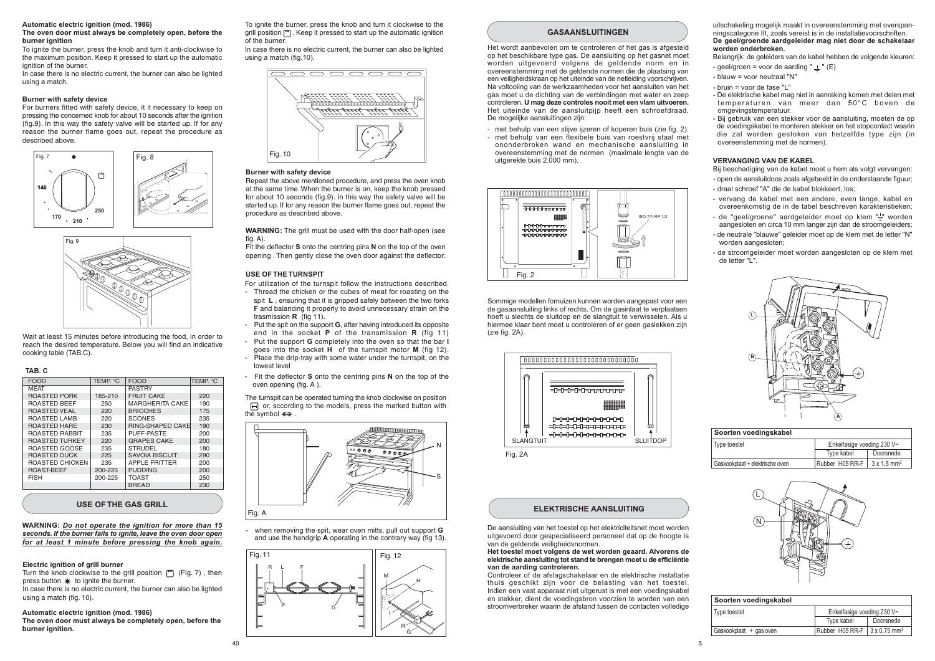#### Automatic electric ignition (mod. 1986)

#### The oven door must always be completely open, before the hurner innition

To ignite the burner press the knob and turn it anti-clockwise to the maximum position. Keep it pressed to start up the automatic janition of the burner.

In case there is no electric current, the burner can also be lighted using a match.

#### Burner with safety device

For burners fitted with safety device, it it necessary to keep on pressing the concerned knob for about 10 seconds after the ignition (fig.9). In this way the safety valve will be started up. If for any reason the burner flame goes out, repeat the procedure as described above.





Wait at least 15 minutes before introducing the food, in order to reach the desired temperature. Below you will find an indicative cooking table (TAB.C).

#### TAR C

| <b>FOOD</b>           | TEMP. °C | <b>FOOD</b>             | TEMP. °C |
|-----------------------|----------|-------------------------|----------|
| <b>MEAT</b>           |          | <b>PASTRY</b>           |          |
| <b>ROASTED PORK</b>   | 185-210  | <b>FRUIT CAKE</b>       | 220      |
| <b>ROASTED BEEF</b>   | 250      | <b>MARGHERITA CAKE</b>  | 190      |
| <b>ROASTED VEAL</b>   | 220      | <b>BRIOCHES</b>         | 175      |
| <b>ROASTED LAMB</b>   | 220      | <b>SCONES</b>           | 235      |
| <b>ROASTED HARE</b>   | 230      | <b>RING-SHAPED CAKE</b> | 190      |
| <b>ROASTED RABBIT</b> | 235      | PUFF-PASTE              | 200      |
| <b>ROASTED TURKEY</b> | 220      | <b>GRAPES CAKE</b>      | 200      |
| ROASTED GOOSE         | 235      | <b>STRUDEL</b>          | 180      |
| ROASTED DUCK          | 225      | SAVOIA BISCUIT          | 290      |
| ROASTED CHICKEN       | 235      | <b>APPLE FRITTER</b>    | 200      |
| <b>ROAST-BEEF</b>     | 200-225  | <b>PUDDING</b>          | 200      |
| <b>FISH</b>           | 200-225  | <b>TOAST</b>            | 250      |
|                       |          | <b>BREAD</b>            | 230      |
|                       |          |                         |          |

#### USE OF THE GAS GRILL

#### WARNING: Do not operate the ignition for more than 15 seconds. If the burner fails to ignite, leave the oven door open for at least 1 minute before pressing the knob again.

#### Electric ignition of grill burner

Turn the knob clockwise to the grill position [m] (Fig. 7), then press button \* to ignite the burner. In case there is no electric current, the burner can also be lighted using a match (fig. 10).

# Automatic electric ignition (mod. 1986)

The oven door must always be completely open, before the burner ignition.

In case there is no electric current the burner can also be lighted using a match (fig. 10).

# $\overline{\phantom{a}}$ <u> સ્ટેસ્ટ રિસ્ટર્ટ સ્ટેસ્ટ રિસ્ટર</u> Fig. 10

#### **Burner with safety device**

Repeat the above mentioned procedure, and press the oven knob at the same time. When the burner is on, keep the knob pressed for about 10 seconds (fig.9). In this way the safety valve will be started up. If for any reason the burner flame goes out, repeat the procedure as described above.

WARNING: The grill must be used with the door half-open (see  $f$ ia. A $)$ .

Fit the deflector S onto the centring pins N on the top of the oven opening. Then gently close the oven door against the deflector.

#### USE OF THE TURNSPIT

- For utilization of the turnspit follow the instructions described. - Thread the chicken or the cubes of meat for roasting on the spit L, ensuring that it is gripped safely between the two forks F and balancing it properly to avoid unnecessary strain on the trasmission  $\bf{R}$  (fig 11).
- Put the spit on the support G, after having introduced its opposite end in the socket  $P$  of the transmission  $R$  (fig. 11)
- Put the support G completely into the oven so that the bar I goes into the socket H of the turnspit motor M (fig 12). - Place the drip-tray with some water under the turnspit, on the lowest level
- Fit the deflector **S** onto the centring pins N on the top of the oven opening (fig.  $A$ )

The turnspit can be operated turning the knob clockwise on position  $\Box$  or, sccording to the models, press the marked button with the symbol  $\leftrightarrow$ 



when removing the spit, wear oven mitts, pull out support G and use the handgrip A operating in the contrary way (fig 13).



#### **GASAANSI UITINGEN**

Het wordt aanbevolen om te controleren of het gas is afgesteld op het beschikbare type gas. De aansluiting op het gasnet moet worden uitgevoerd volgens de geldende norm en in overeenstemming met de geldende normen die de plaatsing van een veiligheidskraan op het uiteinde van de netleiding voorschrijven. Na voltoojing van de werkzaamheden voor het aansluiten van het gas moet u de dichting van de verbindingen met water en zeep controleren. U mag deze controles nooit met een vlam uitvoeren. Het uiteinde van de aansluitpijp heeft een schroefdraad. De mogelijke aansluitingen zijn:

- met behulp van een stijve jizeren of koperen buis (zie fig. 2).
- met behulp van een flexibele buis van roestvrij staal met ononderbroken wand en mechanische aansluiting in overeenstemming met de normen (maximale lengte van de uitgerekte buis 2.000 mm).



Sommige modellen fornuizen kunnen worden aangepast voor een de gasaansluiting links of rechts. Om de gasinlaat te verplaatsen hoeft u slechts de sluitdop en de slangtuit te verwisselen. Als u hiermee klaar bent moet u controleren of er geen gaslekken zijn  $(zie fia. 2A).$ 



Fig. 2A

#### **ELEKTRISCHE AANSLUITING**

De aansluiting van het toestel op het elektriciteitsnet moet worden uitaevoerd door gespecialiseerd personeel dat op de boogte is van de geldende veiligheidsnormen.

#### Het toestel moet volgens de wet worden geaard. Alvorens de elektrische aansluiting tot stand te brengen moet u de efficiëntie van de aarding controleren.

Controleer of de afslagschakelaar en de elektrische installatie thuis geschikt zijn voor de belasting van het toestel. Indien een vast apparaat niet uitgerust is met een voedingskabel en stekker, dient de voedingsbron voorzien te worden van een stroomverbreker waarin de afstand tussen de contacten volledige

uitschakeling mogelijk maakt in overeenstemming met overspanningscategorie III. zoals vereist is in de installatievoorschriften. De geel/groende aardgeleider mag niet door de schakelaar worden onderbroken.

Belangrijk: de geleiders van de kabel hebben de volgende kleuren: - geel/groen = yoor de aarding " $\perp$ " (E)

- blauw = voor neutraal "N"

- bruin = voor de fase "I "

- De elektrische kabel mag niet in aanraking komen met delen met temperaturen van meer dan 50°C boven de omgevingstemperatuur.

- Bij gebruik van een stekker voor de aansluiting, moeten de op de voedingskabel te monteren stekker en het stopcontact waarin die zal worden gestoken van hetzelfde type zijn (in overeenstemming met de normen).

#### **VERVANGING VAN DE KABEL**

Bij beschadiging van de kabel moet u hem als volgt vervangen: - open de aansluitdoos zoals afgebeeld in de onderstaande figuur: - draaj schroef "A" die de kabel blokkeert, los:

- vervang de kabel met een andere, even lange, kabel en overeenkomstig de in de tabel beschreven karakteristieken:
- de "geel/groene" aardgeleider moet op klem "-" worden aangesloten en circa 10 mm langer zijn dan de stroomgeleiders: - de neutrale "blauwe" geleider moet op de klem met de letter "N"
- worden aangesloten:
- de stroomgeleider moet worden aangesloten op de klem met de letter "L".



| Soorten voedingskabel           |                 |                                |  |  |
|---------------------------------|-----------------|--------------------------------|--|--|
| Type toestel                    |                 | Enkelfasige voeding 230 V~     |  |  |
|                                 | Type kabel      | Doorsnede                      |  |  |
| Gaskookplaat + elektrische oven | Rubber H05 RR-F | $3 \times 1.5$ mm <sup>2</sup> |  |  |



#### Soorten voedingskabel Type toestel Enkelfasige voeding 230 V~ Type kabel Doorsnede Gaskookplaat + gas oven  $Ruhber$  H<sub>05</sub> RR-F 3 x 0.75 mm<sup>2</sup>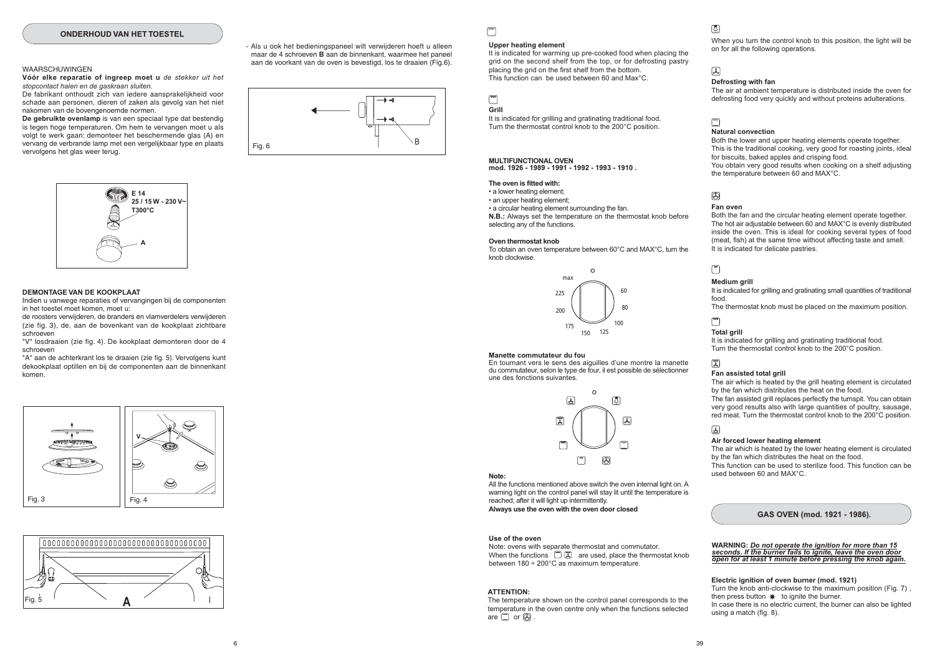#### ONDERHOUD VAN HET TOESTEL

#### **WAARSCHUWINGEN**

Vóór elke reparatie of ingreep moet u de stekker uit het stopcontact halen en de gaskraan sluiten.

De fabrikant onthoudt zich van jedere aansprakelijkheid voor schade aan personen, dieren of zaken als gevolg van het niet nakomen van de bovengenoemde normen.

De gebruikte ovenlamp is van een speciaal type dat bestendig is tegen hoge temperaturen. Om hem te vervangen moet u als volgt te werk gaan: demonteer het beschermende glas (A) en vervang de verbrande lamp met een vergelijkbaar type en plaats vervolgens het glas weer terug.



#### DEMONTAGE VAN DE KOOKPI AAT

Indien u vanwege reparaties of vervangingen bij de componenten in het toestel moet komen, moet u:

de roosters verwijderen, de branders en vlamverdelers verwijderen (zie fig. 3), de, aan de bovenkant van de kookplaat zichtbare schroeven

"V" losdraaien (zie fig. 4). De kookplaat demonteren door de 4 schroeven

"A" aan de achterkrant los te draaien (zie fig. 5). Vervolgens kunt dekookplaat optillen en bij de componenten aan de binnenkant komen





- Als u ook het bedieningspaneel wilt verwijderen hoeft u alleen maar de 4 schroeven B aan de binnenkant, waarmee het paneel aan de voorkant van de oven is bevestigd. los te draaien (Fig.6).



# $\Box$

#### Unner heating element

It is indicated for warming up pre-cooked food when placing the grid on the second shelf from the top, or for defrosting pastry placing the grid on the first shelf from the bottom. This function can be used between 60 and Max°C.

#### $\sqrt{2}$ Grill

It is indicated for grilling and gratinating traditional food. Turn the thermostat control knob to the 200°C position.

#### MULTIFUNCTIONAL OVEN

mod. 1926 - 1989 - 1991 - 1992 - 1993 - 1910

#### The oven is fitted with:

• a lower heating element:

· an upper heating element:

• a circular heating element surrounding the fan. N.B.: Always set the temperature on the thermostat knob before selecting any of the functions.

#### Oven thermostat knob

To obtain an oven temperature between 60°C and MAX°C, turn the knob clockwise.



#### Manette commutateur du fou

En tournant vers le sens des aiguilles d'une montre la manette du commutateur, selon le type de four, il est possible de sélectionner une des fonctions suivantes



#### Note:

All the functions mentioned above switch the oven internal light on. A warning light on the control panel will stay lit until the temperature is reached; after it will light up intermittently. Always use the oven with the oven door closed

#### Use of the oven

Note: ovens with separate thermostat and commutator. When the functions  $\sqrt{m}$   $\sqrt{m}$  are used place the thermostat knob between  $180 \div 200^{\circ}$ C as maximum temperature.

#### **ATTENTION:**

The temperature shown on the control panel corresponds to the temperature in the oven centre only when the functions selected are  $\Box$  or  $\Box$ 

# 國

When you turn the control knob to this position, the light will be on for all the following operations.

## $\mathbb{R}$

#### Defrosting with fan

The air at ambient temperature is distributed inside the oven for defrosting food very quickly and without proteins adulterations.

# $\Box$

#### **Natural convection**

Both the lower and upper heating elements operate together. This is the traditional cooking, very good for roasting joints, ideal for biscuits, baked apples and crisping food. You obtain very good results when cooking on a shelf adjusting the temperature between 60 and MAX°C.

# $\circledR$

#### Fan oven

Both the fan and the circular heating element operate together. The hot air adjustable between 60 and MAX°C is evenly distributed inside the oven. This is ideal for cooking several types of food (meat, fish) at the same time without affecting taste and smell. It is indicated for delicate pastries.

# $\sqrt{2}$

#### **Medium arill**

It is indicated for grilling and gratinating small quantities of traditional food

The thermostat knob must be placed on the maximum position.

# $\sqrt{2}$

厦

#### **Total grill** It is indicated for grilling and gratinating traditional food. Turn the thermostat control knob to the 200°C position.

#### Fan assisted total grill

The air which is heated by the grill heating element is circulated by the fan which distributes the heat on the food The fan assisted grill replaces perfectly the turnspit. You can obtain very good results also with large quantities of poultry, sausage. red meat Turn the thermostat control knob to the 200°C position

#### 国

#### Air forced lower heating element

The air which is heated by the lower heating element is circulated by the fan which distributes the heat on the food This function can be used to sterilize food. This function can be used between 60 and MAX°C.

#### GAS OVEN (mod. 1921 - 1986).

#### WARNING: Do not operate the janition for more than 15 seconds. If the burner fails to ignite, leave the oven door open for at least 1 minute before pressing the knob again.

#### Electric ignition of oven burner (mod. 1921)

Turn the knob anti-clockwise to the maximum position (Fig. 7). then press button  $*$  to ignite the burner. In case there is no electric current, the burner can also be lighted using a match (fig. 8).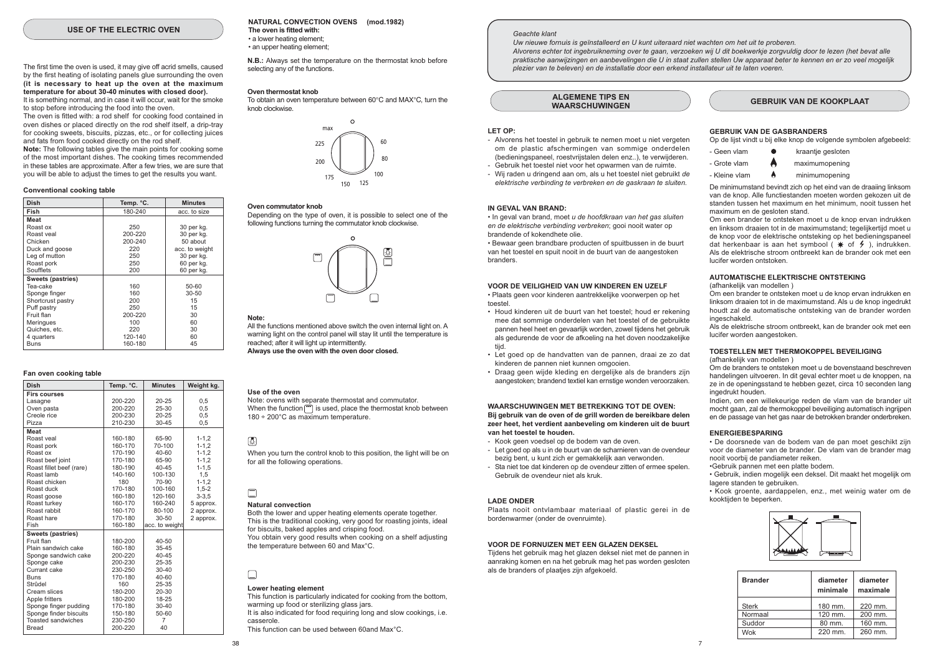#### USE OF THE ELECTRIC OVEN

The first time the oven is used, it may give off acrid smells, caused by the first heating of isolating panels glue surrounding the oven (it is necessary to heat up the oven at the maximum temperature for about 30-40 minutes with closed door). It is something normal, and in case it will occur, wait for the smoke

to stop before introducing the food into the oven. The oven is fitted with: a rod shelf for cooking food contained in oven dishes or placed directly on the rod shelf itself, a drip-tray

for cooking sweets, biscuits, pizzas, etc., or for collecting juices and fats from food cooked directly on the rod shelf. Note: The following tables give the main points for cooking some of the most important dishes. The cooking times recommended in these tables are approximate. After a few tries, we are sure that

you will be able to adjust the times to get the results you want.

#### Conventional cooking table

| Dish              | Temp. °C. | <b>Minutes</b> |
|-------------------|-----------|----------------|
| Fish              | 180-240   | acc. to size   |
| Meat              |           |                |
| Roast ox          | 250       | 30 per kg.     |
| Roast yeal        | 200-220   | 30 per kg.     |
| Chicken           | 200-240   | 50 about       |
| Duck and goose    | 220       | acc. to weight |
| Leg of mutton     | 250       | 30 per kg.     |
| Roast pork        | 250       | 60 per kg.     |
| Soufflets         | 200       | 60 per kg.     |
| Sweets (pastries) |           |                |
| Tea-cake          | 160       | 50-60          |
| Sponge finger     | 160       | $30 - 50$      |
| Shortcrust pastry | 200       | 15             |
| Puff pastry       | 250       | 15             |
| Fruit flan        | 200-220   | 30             |
| Meringues         | 100       | 60             |
| Quiches, etc.     | 220       | 30             |
| 4 quarters        | 120-140   | 60             |
| <b>Buns</b>       | 160-180   | 45             |

#### Fan oven cooking table

| <b>Dish</b>              | Temp. °C. | <b>Minutes</b> | Weight kg. |
|--------------------------|-----------|----------------|------------|
| <b>Firs courses</b>      |           |                |            |
| Lasagne                  | 200-220   | $20 - 25$      | 0.5        |
| Oven pasta               | 200-220   | 25-30          | 0.5        |
| Creole rice              | 200-230   | $20 - 25$      | 0.5        |
| Pizza                    | 210-230   | 30-45          | 0,5        |
| <b>Meat</b>              |           |                |            |
| Roast yeal               | 160-180   | 65-90          | $1 - 1, 2$ |
| Roast pork               | 160-170   | 70-100         | $1 - 1, 2$ |
| Roast ox                 | 170-190   | $40 - 60$      | $1 - 1.2$  |
| Roast beef joint         | 170-180   | 65-90          | $1 - 1.2$  |
| Roast fillet beef (rare) | 180-190   | 40-45          | $1 - 1, 5$ |
| Roast lamb               | 140-160   | 100-130        | 1.5        |
| Roast chicken            | 180       | 70-90          | $1 - 1, 2$ |
| Roast duck               | 170-180   | 100-160        | $1,5-2$    |
| Roast goose              | 160-180   | 120-160        | $3 - 3.5$  |
| Roast turkey             | 160-170   | 160-240        | 5 approx.  |
| Roast rabbit             | 160-170   | 80-100         | 2 approx.  |
| Roast hare               | 170-180   | $30 - 50$      | 2 approx.  |
| Fish                     | 160-180   | acc. to weight |            |
| <b>Sweets (pastries)</b> |           |                |            |
| Fruit flan               | 180-200   | $40 - 50$      |            |
| Plain sandwich cake      | 160-180   | 35-45          |            |
| Sponge sandwich cake     | 200-220   | $40 - 45$      |            |
| Sponge cake              | 200-230   | 25-35          |            |
| Currant cake             | 230-250   | $30 - 40$      |            |
| <b>Buns</b>              | 170-180   | 40-60          |            |
| Strûdel                  | 160       | 25-35          |            |
| Cream slices             | 180-200   | 20-30          |            |
| Apple fritters           | 180-200   | 18-25          |            |
| Sponge finger pudding    | 170-180   | $30 - 40$      |            |
| Sponge finder biscuits   | 150-180   | 50-60          |            |
| Toasted sandwiches       | 230-250   | 7              |            |
| Bread                    | 200-220   | 40             |            |

#### NATURAL CONVECTION OVENS (mod.1982) The oven is fitted with:

• a lower heating element: · an upper heating element:

N.B.: Always set the temperature on the thermostat knob before selecting any of the functions.

#### Oven thermostat knob

To obtain an oven temperature between 60°C and MAX°C turn the knob clockwise



#### Oven commutator knob

Depending on the type of oven, it is possible to select one of the following functions turning the commutator knob clockwise



#### Note:

All the functions mentioned above switch the oven internal light on. A warning light on the control panel will stay lit until the temperature is reached; after it will light up intermittently. Always use the oven with the oven door closed.

#### Use of the oven

Note: ovens with separate thermostat and commutator. When the function  $\vec{r}$  is used, place the thermostat knob between  $180 \div 200^{\circ}$ C as maximum temperature.

#### 圆

When you turn the control knob to this position, the light will be on for all the following operations.

# $\Box$

#### **Natural convection**

Both the lower and upper heating elements operate together. This is the traditional cooking, very good for roasting joints, ideal for biscuits, baked apples and crisping food You obtain very good results when cooking on a shelf adjusting the temperature between 60 and Max°C.

# $\Box$

#### Lower heating element

This function is particularly indicated for cooking from the bottom, warming up food or sterilizing glass jars. It is also indicated for food requiring long and slow cookings, i.e. casserole

This function can be used between 60and May°C

#### Geachte klant

IN GEVAL VAN BRAND:

brandende of kokendhete olie.

van het toestel te houden.

**LADE ONDER** 

LET OP:

branders.

toestel

hiit

Uw nieuwe fornuis is geïnstalleerd en U kunt uiteraard niet wachten om het uit te proberen.

Alvorens echter tot ingebruikneming over te gaan, verzoeken wij U dit boekwerkje zorgvuldig door te lezen (het bevat alle praktische aanwijzingen en aanbevelingen die U in staat zullen stellen Uw apparaat beter te kennen en er zo veel mogelijk plezier van te beleven) en de installatie door een erkend installateur uit te laten voeren.

**ALGEMENE TIPS EN WAARSCHUWINGEN** 

- Alvorens het toestel in gebruik te nemen moet u niet vergeten

om de plastic afschermingen van sommige onderdelen

(bedieningspaneel, roestvrijstalen delen enz..), te verwijderen.

- Wij raden u dringend aan om, als u het toestel niet gebruikt de

· In geval van brand, moet u de hoofdkraan van het gas sluiten

. Bewaar geen brandbare producten of spuitbussen in de buurt

van het toestel en spuit nooit in de buurt van de aangestoken

VOOR DE VEILIGHEID VAN UW KINDEREN EN UZELF

· Plaats geen voor kinderen aantrekkelijke voorwerpen op het

• Houd kinderen uit de buurt van het toestel; houd er rekening

mee dat sommige onderdelen van het toestel of de gebruikte

pannen heel heet en gevaarlijk worden, zowel tijdens het gebruik

als gedurende de voor de afkoeling na het doven noodzakelijke

· Let goed op de handvatten van de pannen, draai ze zo dat

· Draag geen wijde kleding en dergelijke als de branders zijn

**WAARSCHUWINGEN MET BETREKKING TOT DE OVEN:** 

Bij gebruik van de oven of de grill worden de bereikbare delen

zeer heet, het verdient aanbeveling om kinderen uit de buurt

- Let goed op als u in de buurt van de scharnieren van de ovendeur

- Sta niet toe dat kinderen op de ovendeur zitten of ermee spelen.

Plaats nooit ontvlambaar materiaal of plastic gerei in de

Tijdens het gebruik mag het glazen deksel niet met de pannen in aanraking komen en na het gebruik mag het pas worden gesloten

VOOR DE FORNUIZEN MET EEN GLAZEN DEKSEL

bezig bent, u kunt zich er gemakkelijk aan verwonden.

aangestoken: brandend textiel kan ernstige wonden veroorzaken.

kinderen de pannen niet kunnen omgooien.

- Kook geen voedsel op de bodem van de oven.

Gebruik de ovendeur niet als kruk.

bordenwarmer (onder de ovenruimte).

als de branders of plaatjes zijn afgekoeld.

en de elektrische verbinding verbreken; gooi nooit water op

elektrische verbinding te verbreken en de gaskraan te sluiten.

- Gebruik het toestel niet voor het opwarmen van de ruimte.

#### **GEBRUIK VAN DE KOOKPLAAT**

#### **GEBRUIK VAN DE GASBRANDERS**

Op de lijst vindt u bij elke knop de volgende symbolen afgebeeld:

- kraantie gesloten - Geen vlam
- Grote vlam maximumopening
- Kleine vlam minimumopening

De minimumstand bevindt zich op het eind van de draaiing linksom van de knop. Alle functiestanden moeten worden gekozen uit de standen tussen het maximum en het minimum nooit tussen het maximum en de gesloten stand.

Om een brander te ontsteken moet u de knop ervan indrukken en linksom draaien tot in de maximumstand; tegelijkertijd moet u de knop voor de elektrische ontsteking op het bedieningspaneel dat herkenbaar is aan het symbool  $\ast$  of  $\ast$  ), indrukken. Als de elektrische stroom ontbreekt kan de brander ook met een lucifer worden ontstoken

#### AUTOMATISCHE ELEKTRISCHE ONTSTEKING (afhankelijk van modellen)

Om een brander te ontsteken moet u de knop ervan indrukken en linksom draaien tot in de maximumstand. Als u de knop ingedrukt houdt zal de automatische ontsteking van de brander worden ingeschakeld

Als de elektrische stroom ontbreekt, kan de brander ook met een lucifer worden aangestoken.

## TOESTELLEN MET THERMOKOPPEL BEVEILIGING

(afhankelijk van modellen)

Om de branders te ontsteken moet u de bovenstaand beschreven handelingen uitvoeren. In dit geval echter moet u de knoppen, na ze in de openingsstand te hebben gezet, circa 10 seconden lang ingedrukt houden.

Indien, om een willekeurige reden de vlam van de brander uit mocht gaan, zal de thermokoppel beveiliging automatisch ingrijpen en de passage van het gas naar de betrokken brander onderbreken.

#### **ENERGIEBESPARING**

· De doorsnede van de bodem van de pan moet geschikt zijn voor de diameter van de brander. De vlam van de brander mag nooit voorbij de pandiameter reiken.

•Gebruik pannen met een platte bodem.

· Gebruik, indien mogelijk een deksel. Dit maakt het mogelijk om lagere standen te gebruiken

· Kook groente, aardappelen, enz., met weinig water om de kooktijden te beperken.



| <b>Brander</b> | diameter<br>minimale | diameter<br>maximale |
|----------------|----------------------|----------------------|
| <b>Sterk</b>   | 180 mm.              | 220 mm.              |
| Normaal        | 120 mm.              | 200 mm.              |
| Suddor         | 80 mm.               | 160 mm.              |
| Wok            | $220$ mm             | 260 mm.              |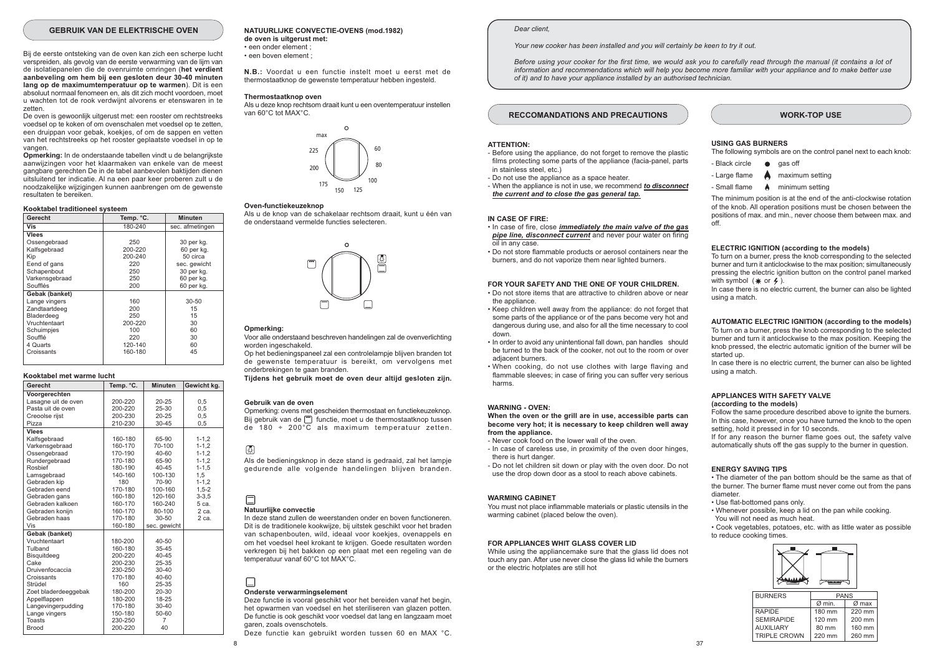#### **GEBRUIK VAN DE ELEKTRISCHE OVEN**

Bij de eerste ontsteking van de oven kan zich een scherpe lucht verspreiden, als gevolg van de eerste verwarming van de lijm van de isolatiepanelen die de ovenruimte omringen (het verdient aanbeveling om hem bij een gesloten deur 30-40 minuten lang op de maximumtemperatuur op te warmen). Dit is een absoluut normaal fenomeen en, als dit zich mocht voordoen, moet u wachten tot de rook verdwijnt alvorens er etenswaren in te zatten

De oven is gewoonlijk uitgerust met: een rooster om rechtstreeks voedsel on te koken of om ovenschalen met voedsel on te zetten een druippan voor gebak, koekies, of om de sappen en vetten van het rechtstreeks op het rooster geplaatste voedsel in op te vangen

Opmerking: In de onderstaande tabellen vindt u de belangrijkste aanwiizingen voor het klaarmaken van enkele van de meest gangbare gerechten De in de tabel aanbevolen baktijden dienen uitsluitend ter indicatie. Al na een paar keer proberen zult u de noodzakelijke wijzigingen kunnen aanbrengen om de gewenste resultaten te bereiken.

#### Kooktabel traditioneel systeem

| Gerecht        | Temp. °C. | <b>Minuten</b>  |
|----------------|-----------|-----------------|
| Vis            | 180-240   | sec. afmetingen |
| Vlees          |           |                 |
| Ossengebraad   | 250       | 30 per kg.      |
| Kalfsgebraad   | 200-220   | 60 per kg.      |
| Kip            | 200-240   | 50 circa        |
| Eend of gans   | 220       | sec. gewicht    |
| Schapenbout    | 250       | 30 per kg.      |
| Varkensgebraad | 250       | 60 per kg.      |
| Soufflés       | 200       | 60 per kg.      |
| Gebak (banket) |           |                 |
| Lange vingers  | 160       | $30 - 50$       |
| Zandtaartdeeg  | 200       | 15              |
| Bladerdeeg     | 250       | 15              |
| Vruchtentaart  | 200-220   | 30              |
| Schuimpjes     | 100       | 60              |
| Soufflé        | 220       | 30              |
| 4 Quarts       | 120-140   | 60              |
| Croissants     | 160-180   | 45              |
|                |           |                 |

#### Kooktabel met warme lucht

| Gerecht              | Temp. °C. | <b>Minuten</b> | Gewicht kg. |
|----------------------|-----------|----------------|-------------|
| Voorgerechten        |           |                |             |
| Lasagne uit de oven  | 200-220   | $20 - 25$      | 0,5         |
| Pasta uit de oven    | 200-220   | 25-30          | 0.5         |
| Creoolse rijst       | 200-230   | $20 - 25$      | 0.5         |
| Pizza                | 210-230   | $30 - 45$      | 0,5         |
| Vlees                |           |                |             |
| Kalfsgebraad         | 160-180   | 65-90          | $1 - 1, 2$  |
| Varkensgebraad       | 160-170   | 70-100         | $1 - 1, 2$  |
| Ossengebraad         | 170-190   | $40 - 60$      | $1 - 1.2$   |
| Rundergebraad        | 170-180   | 65-90          | $1 - 1, 2$  |
| Rosbief              | 180-190   | $40 - 45$      | $1 - 1, 5$  |
| Lamsgebraad          | 140-160   | 100-130        | 1,5         |
| Gebraden kip         | 180       | 70-90          | $1 - 1.2$   |
| Gebraden eend        | 170-180   | 100-160        | $1,5-2$     |
| Gebraden gans        | 160-180   | 120-160        | $3 - 3.5$   |
| Gebraden kalkoen     | 160-170   | 160-240        | 5 ca.       |
| Gebraden koniin      | 160-170   | 80-100         | $2$ ca.     |
| Gebraden haas        | 170-180   | $30 - 50$      | 2 са.       |
| Vis                  | 160-180   | sec. gewicht   |             |
| Gebak (banket)       |           |                |             |
| Vruchtentaart        | 180-200   | $40 - 50$      |             |
| Tulband              | 160-180   | $35 - 45$      |             |
| Bisquitdeeg          | 200-220   | $40 - 45$      |             |
| Cake                 | 200-230   | 25-35          |             |
| Druivenfocaccia      | 230-250   | $30 - 40$      |             |
| Croissants           | 170-180   | 40-60          |             |
| Strüdel              | 160       | 25-35          |             |
| Zoet bladerdeeggebak | 180-200   | $20 - 30$      |             |
| Appelflappen         | 180-200   | 18-25          |             |
| Langevingerpudding   | 170-180   | $30 - 40$      |             |
| Lange vingers        | 150-180   | 50-60          |             |
| <b>Toasts</b>        | 230-250   | $\overline{7}$ |             |
| <b>Brood</b>         | 200-220   | 40             |             |

## NATUURLIJKE CONVECTIE-OVENS (mod.1982)

de oven is uitgerust met: · een onder element : · een boven element :

N.B.: Voordat u een functie instelt moet u eerst met de thermostaatknop de gewenste temperatuur hebben ingesteld

#### Thermostaatknop oven

Als u deze knop rechtsom draait kunt u een oventemperatuur instellen van 60°C tot MAX°C.



#### Oven-functiekeuzeknon

Als u de knop van de schakelaar rechtsom draait kunt u één van de onderstaand vermelde functies selecteren.



#### Opmerking:

Voor alle onderstaand beschreven handelingen zal de ovenverlichting worden ingeschakeld.

Op het bedieningspaneel zal een controlelampje blijven branden tot de gewenste temperatuur is bereikt, om vervolgens met onderbrekingen te gaan branden.

Tijdens het gebruik moet de oven deur altijd gesloten zijn.

#### Gebruik van de oven

Opmerking: ovens met gescheiden thermostaat en functiekeuzeknop. Bij gebruik van de [m] functie, moet u de thermostaatknop tussen de 180 + 200 $\overline{C}$  als maximum temperatuur zetten.

#### 國

Als de bedieningsknop in deze stand is gedraaid, zal het lampje gedurende alle volgende handelingen blijven branden.

## Natuurlijke convectie

In deze stand zullen de weerstanden onder en boven functioneren. Dit is de traditionele kookwiize, bij uitstek geschikt voor het braden van schapenbouten, wild, ideaal voor koekies, ovenappels en om het voedsel heel krokant te krijgen. Goede resultaten worden verkregen bij het bakken op een plaat met een regeling van de temperatuur vanaf 60°C tot MAX°C.

# Onderste verwarmingselement

Deze functie is vooral geschikt voor het bereiden vanaf het begin. het opwarmen van voedsel en het steriliseren van glazen potten. De functie is ook geschikt voor voedsel dat lang en langzaam moet garen, zoals ovenschotels.

Deze functie kan gebruikt worden tussen 60 en MAX °C.

#### Dear client

**ATTENTION:** 

in stainless steel, etc.)

IN CASE OF FIRE:

oil in any case.

the appliance.

adiacent burners.

WARNING - OVEN-

from the appliance.

there is hurt danger.

**WARMING CABINET** 

down

harms

- Do not use the appliance as a space heater.

the current and to close the gas general tap.

#### Your new cooker has been installed and you will certainly be keen to try it out.

Before using your cooker for the first time, we would ask you to carefully read through the manual (it contains a lot of information and recommendations which will help you become more familiar with your appliance and to make better use of it) and to have your appliance installed by an authorised technician.

#### **RECCOMANDATIONS AND PRECAUTIONS**

- Before using the appliance, do not forget to remove the plastic

- When the appliance is not in use, we recommend to disconnect

. In case of fire, close *immediately the main valve of the gas* pipe line, disconnect current and never pour water on firing

. Do not store flammable products or aerosol containers near the

burners, and do not vaporize them near lighted burners.

FOR YOUR SAFETY AND THE ONE OF YOUR CHILDREN.

. Do not store items that are attractive to children above or near

• Keep children well away from the appliance: do not forget that some parts of the appliance or of the pans become very hot and

dangerous during use, and also for all the time necessary to cool

. In order to avoid any unintentional fall down, pan handles, should

. When cooking, do not use clothes with large flaving and

When the oven or the grill are in use, accessible parts can

become very hot; it is necessary to keep children well away

- In case of careless use, in proximity of the oven door hinges,

- Do not let children sit down or play with the oven door. Do not

You must not place inflammable materials or plastic utensils in the

While using the appliancemake sure that the glass lid does not

touch any pan. After use never close the glass lid while the burners

use the drop down door as a stool to reach above cabinets.

- Never cook food on the lower wall of the oven.

warming cabinet (placed below the oven).

or the electric hotplates are still hot

FOR APPLIANCES WHIT GLASS COVER LID

flammable sleeves; in case of firing you can suffer very serious

be turned to the back of the cooker, not out to the room or over

films protecting some parts of the appliance (facia-panel, parts

#### **WORK-TOP USE**

#### **USING GAS BURNERS**

The following symbols are on the control panel next to each knob:

- Black circle gas off
- Large flame maximum setting
- Small flame minimum setting

The minimum position is at the end of the anti-clockwise rotation of the knob. All operation positions must be chosen between the positions of max. and min., never choose them between max. and  $\overline{f}$ 

#### ELECTRIC IGNITION (according to the models)

To turn on a burner, press the knob corresponding to the selected burner and turn it anticlockwise to the max position: simultaneously pressing the electric ignition button on the control panel marked with symbol  $(*$  or  $*$ ).

In case there is no electric current, the burner can also be lighted using a match

#### AUTOMATIC ELECTRIC IGNITION (according to the models)

To turn on a burner, press the knob corresponding to the selected burner and turn it anticlockwise to the max position. Keeping the knob pressed, the electric automatic ignition of the burner will be started un

In case there is no electric current, the burner can also be lighted using a match

#### APPLIANCES WITH SAFETY VALVE (according to the models)

Follow the same procedure described above to ignite the burners. In this case, however, once you have turned the knob to the open setting, hold it pressed in for 10 seconds.

If for any reason the burner flame goes out, the safety valve automatically shuts off the gas supply to the burner in question.

#### **ENERGY SAVING TIPS**

• The diameter of the pan bottom should be the same as that of the burner. The burner flame must never come out from the pans diameter

- . Use flat-bottomed pans only.
- . Whenever possible, keep a lid on the pan while cooking. You will not need as much heat

• Cook vegetables, potatoes, etc. with as little water as possible to reduce cooking times.



| <b>BURNERS</b>      | <b>PANS</b> |          |  |
|---------------------|-------------|----------|--|
|                     | Ø min.      | $Ø$ max  |  |
| <b>RAPIDE</b>       | 180 mm      | $220$ mm |  |
| <b>SEMIRAPIDE</b>   | 120 mm      | $200$ mn |  |
| <b>AUXILIARY</b>    | 80 mm       | 160 mn   |  |
| <b>TRIPLE CROWN</b> | 220 mm      | 260 mn   |  |
|                     |             |          |  |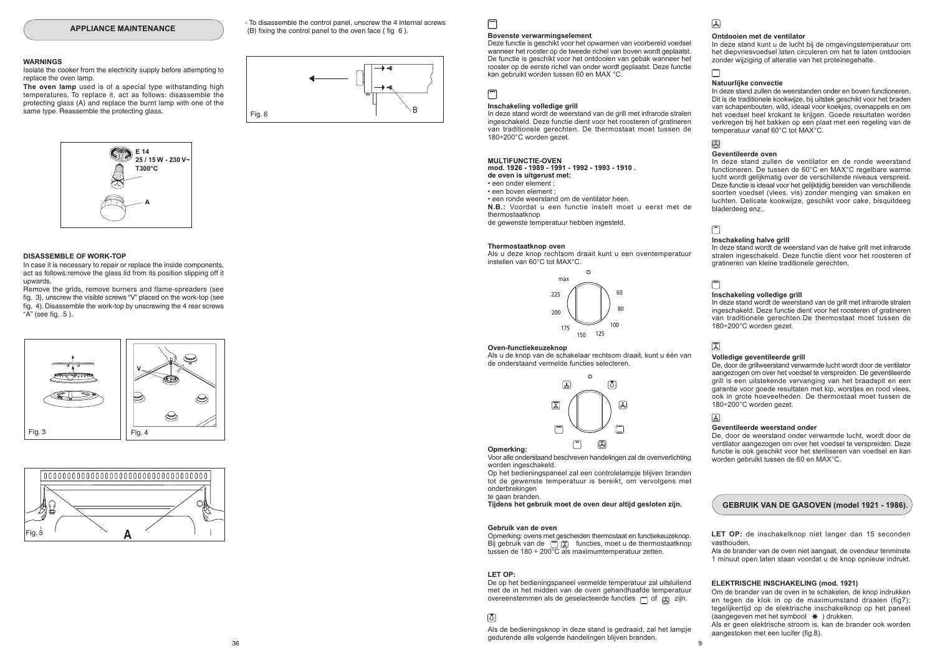#### **WARNINGS**

Isolate the cooker from the electricity supply before attempting to replace the oven lamp

The oven lamp used is of a special type withstanding high temperatures. To replace it, act as follows: disassemble the protecting glass (A) and replace the burnt lamp with one of the same type. Reassemble the protecting glass.



#### DISASSEMBLE OF WORK-TOP

In case it is necessary to repair or replace the inside components. act as follows: remove the glass lid from its position slipping off it unwards

Remove the grids, remove burners and flame-spreaders (see fig. 3), unscrew the visible screws "V" placed on the work-top (see fig. 4). Disassemble the work-top by unscrewing the 4 rear screws " $A$ " (see fig.  $5$ ).





- To disassemble the control panel unscrew the 4 internal screws (B) fixing the control panel to the oven face (fig 6).



#### **Bovenste verwarmingselement**

Deze functie is geschikt voor het opwarmen van voorbereid voedsel wanneer het rooster op de tweede richel van boven wordt geplaatst. De functie is geschikt voor het ontdooien van gebak wanneer het rooster op de eerste richel van onder wordt geplaatst. Deze functie kan gebruikt worden tussen 60 en MAX °C.

┌─┐

 $\Box$ 

#### Inschakeling volledige grill

In deze stand wordt de weerstand van de grill met infrarode stralen ingeschakeld. Deze functie dient voor het roosteren of gratineren van traditionele gerechten. De thermostaat moet tussen de 180÷200°C worden gezet.

#### **MULTIFUNCTIE-OVEN**

mod. 1926 - 1989 - 1991 - 1992 - 1993 - 1910. de oven is uitgerust met: · een onder element : · een boven element : . een ronde weerstand om de ventilator heen N.B.: Voordat u een functie instelt moet u eerst met de thermostaatknon

de gewenste temperatuur hebben ingesteld.

#### Thermostaatknop oven

Als u deze knop rechtsom draait kunt u een oventemperatuur instellen van 60°C tot MAX°C.



#### Oven-functiekeuzeknop

Als u de knop van de schakelaar rechtsom draait, kunt u één van de onderstaand vermelde functies selecteren.



Onmerking: Voor alle onderstaand beschreven handelingen zal de ovenverlichting worden ingeschakeld.

Op het bedieningspaneel zal een controlelampje blijven branden tot de gewenste temperatuur is bereikt, om vervolgens met onderbrekingen

te gaan branden

Tijdens het gebruik moet de oven deur altijd gesloten zijn.

#### Gebruik van de oven

Opmerking: ovens met gescheiden thermostaat en functiekeuzeknop. Bij gebruik van de [ [ ] [ ] functies, moet u de thermostaatknop tussen de 180 ÷ 200 $\overline{C}$  als maximum temperatuur zetten.

#### LET OP:

De op het bedieningspaneel vermelde temperatuur zal uitsluitend met de in het midden van de oven gehandhaafde temperatuur overeenstemmen als de geselecteerde functies  $\Box$  of  $\Box$  zijn.

#### 网

Als de bedieningsknop in deze stand is gedraaid, zal het lampie gedurende alle volgende handelingen blijven branden.

# $\sqrt{2}$

#### Ontdooien met de ventilator

In deze stand kunt u de lucht bij de omgevingstemperatuur om het diepvriesvoedsel laten circuleren om het te laten ontdooien zonder wijziging of alteratie van het proteïnegehalte.

## Natuurlijke convectie

In deze stand zullen de weerstanden onder en boven functioneren. Dit is de traditionele kookwijze, bij uitstek geschikt voor het braden van schapenbouten, wild, ideaal voor koekies, ovenappels en om het voedsel heel krokant te krijgen. Goede resultaten worden verkregen bij het bakken op een plaat met een regeling van de temperatuur vanaf 60°C tot MAX°C.

# 医

Geventileerde oven

In deze stand zullen de ventilator en de ronde weerstand functioneren. De tussen de 60°C en MAX°C regelbare warme lucht wordt gelijkmatig over de verschillende niveaus verspreid. Deze functie is ideaal voor het gelijktijdig bereiden van verschillende soorten voedsel (vlees, vis) zonder menging van smaken en luchten. Delicate kookwijze, geschikt voor cake, bisquitdeeg bladerdeeg enz...

## $\sqrt{2}$

#### Inschakeling halve grill

In deze stand wordt de weerstand van de halve grill met infrarode stralen ingeschakeld. Deze functie dient voor het roosteren of gratineren van kleine traditionele gerechten.

#### Inschakeling volledige grill

In deze stand wordt de weerstand van de grill met infrarode stralen ingeschakeld. Deze functie dient voor het roosteren of gratineren van traditionele gerechten.De thermostaat moet tussen de 180÷200°C worden gezet.

## 厦

国

 $\mathbf{q}$ 

 $\Box$ 

#### Volledige geventileerde grill

De, door de grillweerstand verwarmde lucht wordt door de ventilator aangezogen om over het voedsel te verspreiden. De geventileerde grill is een uitstekende vervanging van het braadspit en een garantie voor goede resultaten met kip, worsties en rood vlees. ook in grote hoeveelheden. De thermostaat moet tussen de 180÷200°C worden gezet.

#### Geventileerde weerstand onder

De, door de weerstand onder verwarmde lucht, wordt door de ventilator aangezogen om over het voedsel te verspreiden. Deze functie is ook geschikt voor het steriliseren van voedsel en kan worden gebruikt tussen de 60 en MAX°C.

#### GEBRUIK VAN DE GASOVEN (model 1921 - 1986).

LET OP: de inschakelknop niet langer dan 15 seconden vasthouden.

Als de brander van de oven niet aangaat, de ovendeur tenminste 1 minuut open laten staan voordat u de knop opnieuw indrukt.

#### ELEKTRISCHE INSCHAKELING (mod. 1921)

Om de brander van de oven in te schakelen, de knop indrukken en tegen de klok in op de maximumstand draaien (fig7): tegelijkertijd on de elektrische inschakelknop on het naneel (aangegeven met het symbool \*) drukken. Als er geen elektrische stroom is, kan de brander ook worden

aangestoken met een lucifer (fig.8).

 $36$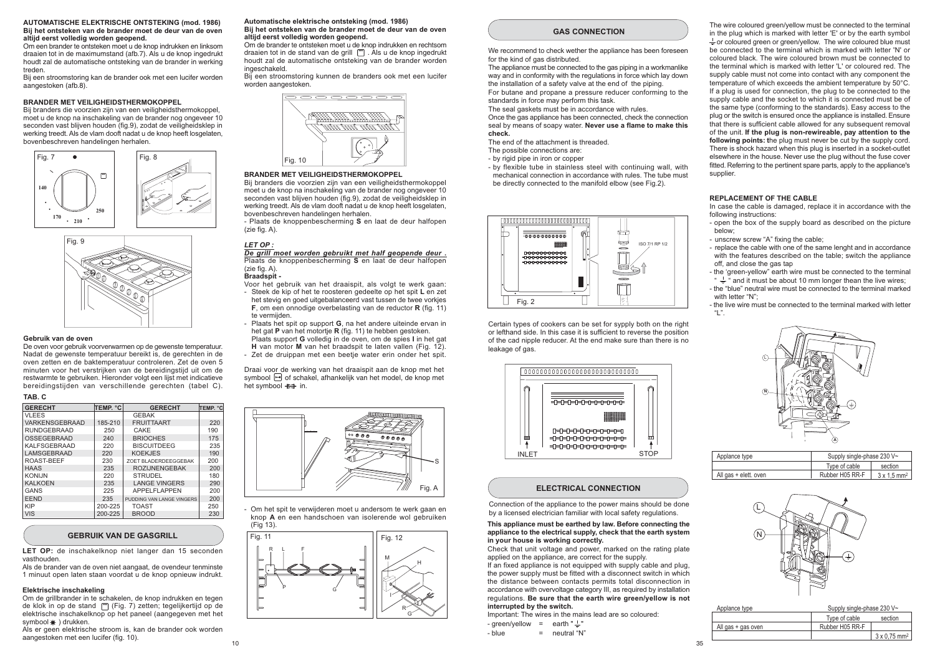#### **AUTOMATISCHE ELEKTRISCHE ONTSTEKING (mod. 1986)** Bij het ontsteken van de brander moet de deur van de oven altiid eerst volledig worden geopend.

Om een brander te ontsteken moet u de knop indrukken en linksom draaien tot in de maximumstand (afb.7). Als u de knop ingedrukt houdt zal de automatische ontsteking van de brander in werking treden

........<br>Bij een stroomstoring kan de brander ook met een lucifer worden aangestoken (afb.8).

#### BRANDER MET VEILIGHEIDSTHERMOKOPPEL

Bij branders die voorzien zijn van een veiligheidsthermokoppel, moet u de knop na inschakeling van de brander nog ongeveer 10 seconden vast blijven houden (fig.9), zodat de veiligheidsklep in werking treedt. Als de vlam dooft nadat u de knop heeft losgelaten, bovenbeschreven handelingen herhalen.





#### Gebruik van de oven

De oven voor gebruik voorverwarmen op de gewenste temperatuur. Nadat de gewenste temperatuur bereikt is, de gerechten in de oven zetten en de baktemperatuur controleren. Zet de oven 5 minuten voor het verstrijken van de bereidingstijd uit om de restwarmte te gebruiken. Hieronder volgt een lijst met indicatieve bereidingstijden van verschillende gerechten (tabel C).

## TAB. C

| <b>GERECHT</b>      | TEMP. °C | <b>GERECHT</b>              | ∣ТЕМР. °С |
|---------------------|----------|-----------------------------|-----------|
| <b>VLEES</b>        |          | <b>GEBAK</b>                |           |
| VARKENSGEBRAAD      | 185-210  | <b>FRUITTAART</b>           | 220       |
| <b>RUNDGEBRAAD</b>  | 250      | CAKE                        | 190       |
| OSSEGEBRAAD         | 240      | <b>BRIOCHES</b>             | 175       |
| <b>KALFSGEBRAAD</b> | 220      | <b>BISCUITDEEG</b>          | 235       |
| <b>LAMSGEBRAAD</b>  | 220      | <b>KOEKJES</b>              | 190       |
| ROAST-BEEF          | 230      | <b>ZOFT BLADERDEEGGEBAK</b> | 200       |
| <b>HAAS</b>         | 235      | <b>ROZIJNENGEBAK</b>        | 200       |
| <b>KONIJN</b>       | 220      | <b>STRUDEL</b>              | 180       |
| <b>KALKOEN</b>      | 235      | <b>LANGE VINGERS</b>        | 290       |
| <b>GANS</b>         | 225      | <b>APPELFLAPPEN</b>         | 200       |
| <b>EEND</b>         | 235      | PUDDING VAN LANGE VINGERS   | 200       |
| <b>KIP</b>          | 200-225  | <b>TOAST</b>                | 250       |
| VIS                 | 200-225  | <b>BROOD</b>                | 230       |

#### **GEBRUIK VAN DE GASGRILL**

**LET OP:** de inschakelknop niet langer dan 15 seconden vasthouden

nas.<br>Als de brander van de oven niet aangaat, de ovendeur tenminste 1 minuut open laten staan voordat u de knop opnieuw indrukt.

#### **Elektrische inschakeling**

Om de grillbrander in te schakelen, de knop indrukken en tegen de klok in op de stand ['''] (Fig. 7) zetten; tegelijkertijd op de elektrische inschakelknop op het paneel (aangegeven met het symbool  $\divideontimes$  ) drukken.

Als er geen elektrische stroom is, kan de brander ook worden aangestoken met een lucifer (fig. 10).

#### Automatische elektrische ontsteking (mod. 1986) Bij het ontsteken van de brander moet de deur van de oven altiid eerst volledig worden geopend.

Om de brander te ontsteken moet u de knop indrukken en rechtsom draaien tot in de stand van de grill  $\Box$  . Als u de knop ingedrukt houdt zal de automatische ontsteking van de brander worden ingeschakeld.

Bij een stroomstoring kunnen de branders ook met een luciter worden aangestoken



#### BRANDER MET VEILIGHEIDSTHERMOKOPPEL

Bij branders die voorzien zijn van een veiligheidsthermokoppel moet u de knop na inschakeling van de brander nog ongeveer 10 seconden vast blijven houden (fig.9), zodat de veiligheidsklep in werking treedt. Als de vlam dooft nadat u de knop heeft losgelaten, bovenbeschreven handelingen herhalen

and the state of the material state of the state of the state of the state of the state of the state of the state of the Plaats de knoppenbescherming S en laat de deur halfopen  $(zie fia, A).$ 

#### **LET OP**

De grill moet worden gebruikt met half geopende deur . Plaats de knoppenbescherming **S** en laat de deur halfopen  $(zie fia, A)$ .

#### **Braadspit**

- Voor het gebruik van het draaispit, als volgt te werk gaan: - Steek de kip of het te roosteren gedeelte op het spit **L** en zet het stevig en goed uitgebalanceerd vast tussen de twee vorkjes **F**, om een onnodige overbelasting van de reductor **R** (fig. 11) te vermijden
- Plaats het spit op support **G**, na het andere uiteinde ervan in het gat **P** van het motortje **R** (fig. 11) te hebben gestoken.
- Plaats support **G** volledig in de oven, om de spies **I** in het gat **H** van motor **M** van het braadspit te laten vallen (Fig. 12).

Draai voo<u>r d</u>e werking van het draaispit aan de knop met het - Zet de druippan met een beetje water erin onder het spit.

symbool  $\boxdot$  of schakel, afhankelijk van het model, de knop met het symbool <del>-E=</del>+ in.



- Om het spit te verwijderen moet u andersom te werk gaan en knop **A** en een handschoen van isolerende wol gebruiken



#### **GAS CONNECTION**

We recommend to check wether the appliance has been foreseen for the kind of gas distributed.

The appliance must be connected to the gas piping in a workmanlike way and in conformity with the regulations in force which lay down the installation of a safety valve at the end of the piping. For butane and propane a pressure reducer conforming to the

standards in force may perform this task. The seal gaskets must be in accordance with rules. Once the gas appliance has been connected, check the connection seal by means of soapy water. Never use a flame to make this

**.1.** 

The end of the attachment is threaded.

- The possible connections are:
- by rigid pipe in iron or copper
- by flexible tube in stainless steel with continuing wall, with mechanical connection in accordance with rules. The tube must be directly connected to the manifold elbow (see Fig.2).



Certain types of cookers can be set for sypply both on the right or lefthand side. In this case it is sufficient to reverse the position of the cad nipple reducer. At the end make sure than there is no leakage of gas



#### **ELECTRICAL CONNECTION**

Connection of the appliance to the power mains should be done by a licensed electrician familiar with local safety regulations.

#### This appliance must be earthed by law. Before connecting the appliance to the electrical supply, check that the earth system in your house is working correctly.

Check that unit voltage and power, marked on the rating plate applied on the appliance, are correct for the supply.

If an fixed appliance is not equipped with supply cable and plug, the power supply must be fitted with a disconnect switch in which the distance between contacts permits total disconnection in accordance with overvoltage category III, as required by installation regulations. **Be sure that the earth wire green/yellow is not** interrupted by the switch.

Important: The wires in the mains lead are so coloured:

- green/yellow = earth "  $\mathop{\rule[1pt]{.5pt}{.1pt}}$  "  $\overline{\phantom{a}}$  blue
	- noutral "N"

The wire coloured green/yellow must be connected to the terminal in the plug which is marked with letter 'E' or by the earth symbol  $\div$  or coloured green or green/yellow. The wire coloured blue must be connected to the terminal which is marked with letter 'N' or coloured black. The wire coloured brown must be connected to the terminal which is marked with letter 'L' or coloured red. The supply cable must not come into contact with any component the temperature of which exceeds the ambient temperature by 50°C. If a plug is used for connection, the plug to be connected to the supply cable and the socket to which it is connected must be of the same type (conforming to the standards). Easy access to the plug or the switch is ensured once the appliance is installed. Ensure that there is sufficient cable allowed for any subsequent removal of the unit. I**f the plug is non-rewireable, pay attention to the following points: t**he plug must never be cut by the supply cord. There is shock hazard when this plug is inserted in a socket-outlet elsewhere in the house. Never use the plug without the fuse cover fitted. Referring to the pertinent spare parts, apply to the appliance's supplier.

#### REPLACEMENT OF THE CABLE

In case the cable is damaged, replace it in accordance with the following instructions:

- open the box of the supply board as described on the picture helow<sup>.</sup>
- unscrew screw "A" fixing the cable;
- replace the cable with one of the same lenght and in accordance with the features described on the table; switch the appliance off, and close the gas tap
- the 'green-yellow" earth wire must be connected to the terminal "  $\frac{1}{\leftarrow}$  " and it must be about 10 mm longer thean the live wires;
- the "blue" neutral wire must be connected to the terminal marked with letter "N":
- the live wire must be connected to the terminal marked with letter  $"$ "



| Applance type         | Supply single-phase 230 V~ |                                |  |  |
|-----------------------|----------------------------|--------------------------------|--|--|
|                       | Type of cable              | section                        |  |  |
| All gas + elett. oven | Rubber H05 RR-F            | $3 \times 1.5$ mm <sup>2</sup> |  |  |



| Applance type      | Supply single-phase 230 V~ |                                 |  |  |
|--------------------|----------------------------|---------------------------------|--|--|
|                    | Type of cable              | section                         |  |  |
| All gas + gas oven | Rubber H05 RR-F            |                                 |  |  |
|                    |                            | $3 \times 0.75$ mm <sup>2</sup> |  |  |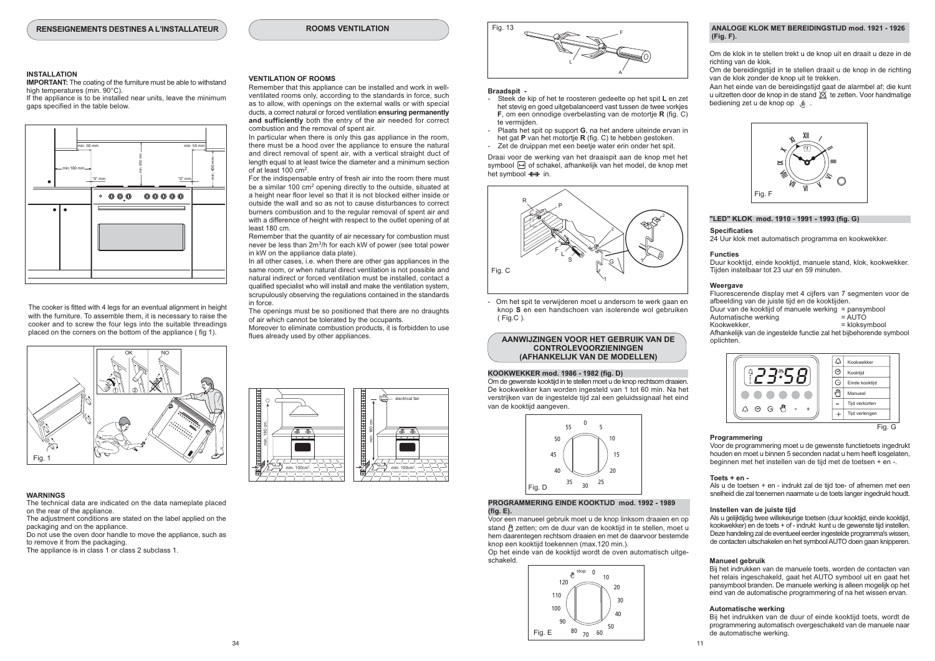**ROOMS VENTILATION** 

#### **INSTALLATION**

**IMPORTANT:** The coating of the furniture must be able to withstand high temperatures (min. 90°C).

If the appliance is to be installed near units, leave the minimum gaps specified in the table below.



The cooker is fitted with 4 leas for an eventual alignment in height with the furniture. To assemble them, it is necessary to raise the cooker and to screw the four legs into the suitable threadings placed on the corners on the bottom of the appliance (fig 1).



#### **WARNINGS**

The technical data are indicated on the data nameplate placed on the rear of the appliance.

The adjustment conditions are stated on the label applied on the packaging and on the appliance.

Do not use the oven door handle to move the appliance, such as to remove it from the packaging.

The appliance is in class 1 or class 2 subclass 1



Remember that this appliance can be installed and work in wellventilated rooms only, according to the standards in force, such as to allow, with openings on the external walls or with special ducts, a correct natural or forced ventilation ensuring permanently and sufficiently both the entry of the air needed for correct combustion and the removal of spent air.

In particular when there is only this gas appliance in the room. there must be a hood over the appliance to ensure the natural and direct removal of spent air, with a vertical straight duct of length equal to at least twice the diameter and a minimum section of at least  $100 \text{ cm}^2$ 

For the indispensable entry of fresh air into the room there must be a similar 100 cm<sup>2</sup> opening directly to the outside, situated at a height near floor level so that it is not blocked either inside or outside the wall and so as not to cause disturbances to correct burners combustion and to the regular removal of spent air and with a difference of height with respect to the outlet opening of at least 180 cm.

Remember that the quantity of air necessary for combustion must never be less than 2m<sup>3</sup>/h for each kW of power (see total power in kW on the appliance data plate).

In all other cases, i.e. when there are other gas appliances in the same room, or when natural direct ventilation is not possible and natural indirect or forced ventilation must be installed, contact a qualified specialist who will install and make the ventilation system. scrupulously observing the regulations contained in the standards in force

The openings must be so positioned that there are no draughts of air which cannot be tolerated by the occupants Moreover to eliminate combustion products, it is forbidden to use

flues already used by other appliances.



#### Braadspit -

- Steek de kip of het te roosteren gedeelte op het spit L en zet het stevig en goed uitgebalanceerd vast tussen de twee vorkies  $F$ . om een onnodige overbelasting van de motortie  $R$  (fig.  $C$ ) te vermijden
- Plaats het spit op support G, na het andere uiteinde ervan in het gat P van het motortie R (fig. C) te hebben gestoken.
- Zet de druinnan met een beetje water erin onder het snit

Draai voor de werking van het draaispit aan de knop met het symbool [ of schakel, afhankelijk van het model, de knop met het symbool ++ in.



Om het spit te verwijderen moet u andersom te werk gaan en knop S en een handschoen van isolerende wol gebruiken (Fig.C).

#### AANWIJZINGEN VOOR HET GEBRUIK VAN DE **CONTROLEVOORZIENINGEN** (AFHANKELIJK VAN DE MODELLEN)

#### KOOKWEKKER mod. 1986 - 1982 (fig. D)

Om de gewenste kooktijd in te stellen moet u de knop rechtsom draaien. De kookwekker kan worden ingesteld van 1 tot 60 min. Na het verstrijken van de ingestelde tijd zal een geluidssignaal het eind van de kooktiid aangeven.



#### PROGRAMMERING EINDE KOOKTIJD mod. 1992 - 1989 (fig. E).

Voor een manueel gebruik moet u de knop linksom draaien en op stand ill zetten: om de duur van de kooktijd in te stellen. moet u hem daarentegen rechtsom draaien en met de daarvoor bestemde knop een kooktiid toekennen (max.120 min.).

Op het einde van de kooktijd wordt de oven automatisch uitgeschakeld



#### ANALOGE KLOK MET BEREIDINGSTIJD mod. 1921 - 1926  $(Fia, F).$

Om de klok in te stellen trekt u de knop uit en draait u deze in de richting van de klok.

Om de bereidingstijd in te stellen draait u de knop in de richting van de klok zonder de knop uit te trekken

Aan het einde van de bereidingstijd gaat de alarmbel af; die kunt u uitzetten door de knop in de stand  $\breve{\otimes}$  te zetten. Voor handmatige bediening zet u de knop op Jll .



#### "LED" KLOK mod. 1910 - 1991 - 1993 (fig. G)

#### **Specificaties**

24 Uur klok met automatisch programma en kookwekker.

#### **Euncties**

Duur kooktiid, einde kooktiid, manuele stand, klok, kookwekker Tijden instelbaar tot 23 uur en 59 minuten.

#### Weergave

Fluorescerende display met 4 cilers van 7 segmenten voor de afbeelding van de juiste tijd en de kooktijden. Duur van de kooktijd of manuele werking = pansymbool Automatische werking  $=$  AUTÓ Kookwekker, = kloksymbool Afhankelijk van de ingestelde functie zal het bijbehorende symbool onlichten



#### Programmering

Voor de programmering moet u de gewenste functietoets ingedrukt houden en moet u binnen 5 seconden nadat u hem heeft losgelaten, beginnen met het instellen van de tijd met de toetsen + en -.

#### $Toate + an$ .

Als u de toetsen + en - indrukt zal de tijd toe- of afnemen met een snelheid die zal toenemen naarmate u de toets langer ingedrukt houdt.

#### Instellen van de juiste tijd

Als u gelijktijdig twee willekeurige toetsen (duur kooktijd, einde kooktijd, kookwekker) en de toets + of - indrukt kunt u de gewenste tijd instellen. Deze handeling zal de eventueel eerder ingestelde programma's wissen, de contacten uitschakelen en het symbool AUTO doen gaan knipperen.

#### **Manueel gebruik**

Bij het indrukken van de manuele toets, worden de contacten van het relais ingeschakeld, gaat het AUTO symbool uit en gaat het pansymbool branden. De manuele werking is alleen mogelijk op het eind van de automatische programmering of na het wissen ervan.

#### Automatische werking

Bij het indrukken van de duur of einde kooktijd toets, wordt de programmering automatisch overgeschakeld van de manuele naar de automatische werking.

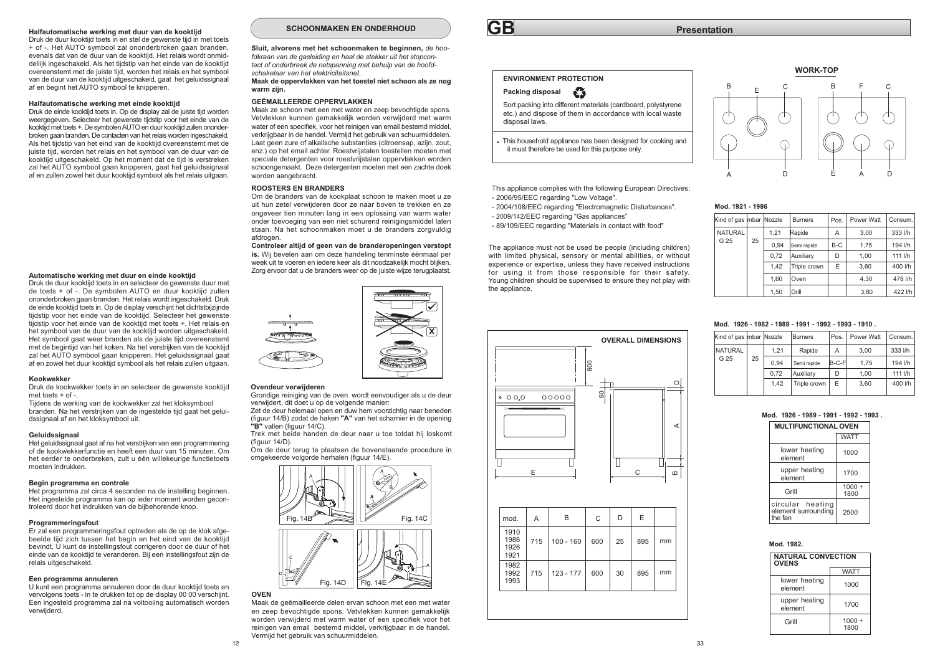#### Halfautomatische werking met duur van de kooktiid

Druk de duur kooktijd toets in en stel de gewenste tijd in met toets + of -. Het AUTO symbool zal ononderbroken gaan branden. evenals dat van de duur van de kooktijd. Het relais wordt onmiddellijk ingeschakeld. Als het tijdstip van het einde van de kooktijd overeenstemt met de juiste tijd, worden het relais en het symbool van de duur van de kooktiid uitgeschakeld, gaat het geluidssignaal af en begint het AUTO symbool te knipperen.

#### Halfautomatische werking met einde kooktiid

Druk de einde kooktijd toets in. Op de display zal de juiste tijd worden weergegeven. Selecteer het gewenste tijdstip voor het einde van de kooktiid met toets +. De symbolen AUTO en duur kooktiid zullen ononderbroken gaan branden. De contacten van het relais worden ingeschakeld. Als het tijdstip van het eind van de kooktijd overeenstemt met de juiste tijd, worden het relais en het symbool van de duur van de kooktiid uitgeschakeld. Op het moment dat de tiid is verstreken zal het AUTO symbool gaan knipperen, gaat het geluidssignaal af en zullen zowel het duur kooktijd symbool als het relais uitgaan.

#### Automatische werking met duur en einde kooktiid

Druk de duur kooktijd toets in en selecteer de gewenste duur met de toets + of -. De symbolen AUTO en duur kooktijd zullen ononderbroken gaan branden. Het relais wordt ingeschakeld. Druk de einde kooktijd toets in. Op de display verschijnt het dichtstbijzijnde tijdstip voor het einde van de kooktijd. Selecteer het gewenste tijdstip voor het einde van de kooktijd met toets +. Het relais en het symbool van de duur van de kooktijd worden uitgeschakeld. Het symbool gaat weer branden als de juiste tijd overeenstemt met de begintijd van het koken. Na het verstrijken van de kooktijd zal het AUTO symbool gaan knipperen. Het geluidssignaal gaat af en zowel het duur kooktijd symbool als het relais zullen uitgaan.

#### Kookwekker

Druk de kookwekker toets in en selecteer de gewenste kooktijd  $m$ et toets + of -

Tijdens de werking van de kookwekker zal het kloksymbool branden. Na het verstrijken van de ingestelde tijd gaat het geluidssignaal af en het kloksymbool uit.

#### Geluidssignaal

Het geluidssignaal gaat af na het verstrijken van een programmering of de kookwekkerfunctie en heeft een duur van 15 minuten. Om het eerder te onderbreken, zult u één willekeurige functietoets moeten indrukken

#### Begin programma en controle

Het programma zal circa 4 seconden na de instelling beginnen. Het ingestelde programma kan op ieder moment worden gecontroleerd door het indrukken van de bijbehorende knop

#### Programmeringsfout

Er zal een programmeringsfout optreden als de op de klok afgebeelde tijd zich tussen het begin en het eind van de kooktijd bevindt. U kunt de instellingsfout corrigeren door de duur of het einde van de kooktijd te veranderen. Bij een instellingsfout zijn de relais uitgeschakeld.

#### Een programma annuleren

U kunt een programma annuleren door de duur kooktiid toets en vervolgens toets - in te drukken tot op de display 00 00 verschijnt. Een ingesteld programma zal na voltooiing automatisch worden verwijderd.

#### SCHOONMAKEN EN ONDERHOUD

Sluit, alvorens met het schoonmaken te beginnen, de hoofdkraan van de gasleiding en haal de stekker uit het stopcontact of onderbreek de netspanning met behulp van de hoofdschakelaar van het elektriciteitsnet.

#### Maak de oppervlakken van het toestel niet schoon als ze nog warm ziin.

#### **GEËMAILLEERDE OPPERVLAKKEN**

Maak ze schoon met een met water en zeep bevochtigde spons. Vetvlekken kunnen gemakkelijk worden verwijderd met warm water of een specifiek, voor het reinigen van email bestemd middel, verkrijgbaar in de handel. Vermijd het gebruik van schuurmiddelen. Laat geen zure of alkalische substanties (citroensap, azijn, zout, enz.) op het email achter. Roestvrijstalen toestellen moeten met speciale detergenten voor roestvrijstalen oppervlakken worden schoongemaakt. Deze detergenten moeten met een zachte doek worden aangebracht.

#### **ROOSTERS EN BRANDERS**

Om de branders van de kookplaat schoon te maken moet u.ze uit hun zetel verwijderen door ze naar boven te trekken en ze ongeveer tien minuten lang in een oplossing van warm water onder toevoeging van een niet schurend reinigingsmiddel laten staan. Na het schoonmaken moet u de branders zorgvuldig afdrogen.

Controleer altijd of geen van de branderopeningen verstopt is. Wij bevelen aan om deze handeling tenminste éénmaal per week uit te voeren en jedere keer als dit noodzakelijk mocht blijken Zorg ervoor dat u de branders weer op de juiste wijze terugplaatst.



#### Ovendeur verwijderen

Grondige reiniging van de oven wordt eenvoudiger als u de deur verwijdert, dit doet u op de volgende manier: Zet de deur helemaal open en duw hem voorzichtig naar beneden

(figuur 14/B) zodat de haken "A" van het scharnier in de opening "B" vallen (figuur 14/C). Trek met beide handen de deur naar u toe totdat hij loskomt

 $(fionur 14/D)$ 

Om de deur terug te plaatsen de bovenstaande procedure in omgekeerde volgorde herhalen (figuur 14/E).



#### **OVEN**

Maak de geëmailleerde delen ervan schoon met een met water en zeep bevochtigde spons. Vetvlekken kunnen gemakkelijk worden verwijderd met warm water of een specifiek voor het reinigen van email bestemd middel, verkrijgbaar in de handel Vermiid het gebruik van schuurmiddelen.

# **GB**

#### **ENVIRONMENT PROTECTION**

#### Packing disposal €

Sort packing into different materials (cardboard, polystyrene etc.) and dispose of them in accordance with local waste disposal laws

This household appliance has been designed for cooking and it must therefore be used for this purpose only.

This appliance complies with the following European Directives: - 2006/95/EEC regarding "I ow Voltage"

- 2004/108/EEC regarding "Electromagnetic Disturbances". - 2009/142/EEC regarding "Gas appliances"
- 89/109/EEC regarding "Materials in contact with food"

The appliance must not be used be people (including children) with limited physical, sensory or mental abilities, or without experience or expertise, unless they have received instructions for using it from those responsible for their safety. Young children should be supervised to ensure they not play with the appliance.





#### Mod. 1921 - 1986

| (ind of gas  mbar  Nozzle |    |      | <b>Burners</b> | Pos. | Power Watt | Consum. |
|---------------------------|----|------|----------------|------|------------|---------|
| <b>NATURAL</b>            |    | 1.21 | Rapide         | Α    | 3.00       | 333 l/h |
| G 25                      | 25 | 0.94 | Semi rapide    | B-C  | 1.75       | 194 l/h |
|                           |    | 0.72 | Auxiliarv      | D    | 1.00       | 111 l/h |
|                           |    | 1.42 | Triple crown   | E    | 3.60       | 400 l/h |
|                           |    | 1.60 | Oven           |      | 4.30       | 478 l/h |
|                           |    | 1.50 | Grill          |      | 3,80       | 422 l/h |

#### Mod. 1926 - 1982 - 1989 - 1991 - 1992 - 1993 - 1910

| Kind of gas  mbar  Nozzle |    |      | <b>Burners</b> | Pos.  | Power Watt | Consum. |
|---------------------------|----|------|----------------|-------|------------|---------|
| <b>NATURAL</b>            |    | 1.21 | Rapide         | Α     | 3.00       | 333 l/h |
| G 25                      | 25 | 0.94 | Semi rapide    | B-C-F | 1.75       | 194 l/h |
|                           |    | 0.72 | Auxiliarv      | D     | 1.00       | 111 I/h |
|                           |    | 1.42 | Triple crown   | E     | 3.60       | 400 l/h |
|                           |    |      |                |       |            |         |

#### Mod 1926 - 1989 - 1991 - 1992 - 1993

| <b>MULTIFUNCTIONAL OVEN</b>                        |                  |
|----------------------------------------------------|------------------|
|                                                    | <b>WATT</b>      |
| lower heating<br>element                           | 1000             |
| upper heating<br>element                           | 1700             |
| Grill                                              | $1000 +$<br>1800 |
| circular heating<br>element surrounding<br>the fan | 2500             |

| Mod. 1982. |
|------------|
|            |

| <b>NATURAL CONVECTION</b><br><b>OVENS</b> |                  |  |  |  |
|-------------------------------------------|------------------|--|--|--|
|                                           | <b>WATT</b>      |  |  |  |
| lower heating<br>element                  | 1000             |  |  |  |
| upper heating<br>element                  | 1700             |  |  |  |
| Grill                                     | $1000 +$<br>1800 |  |  |  |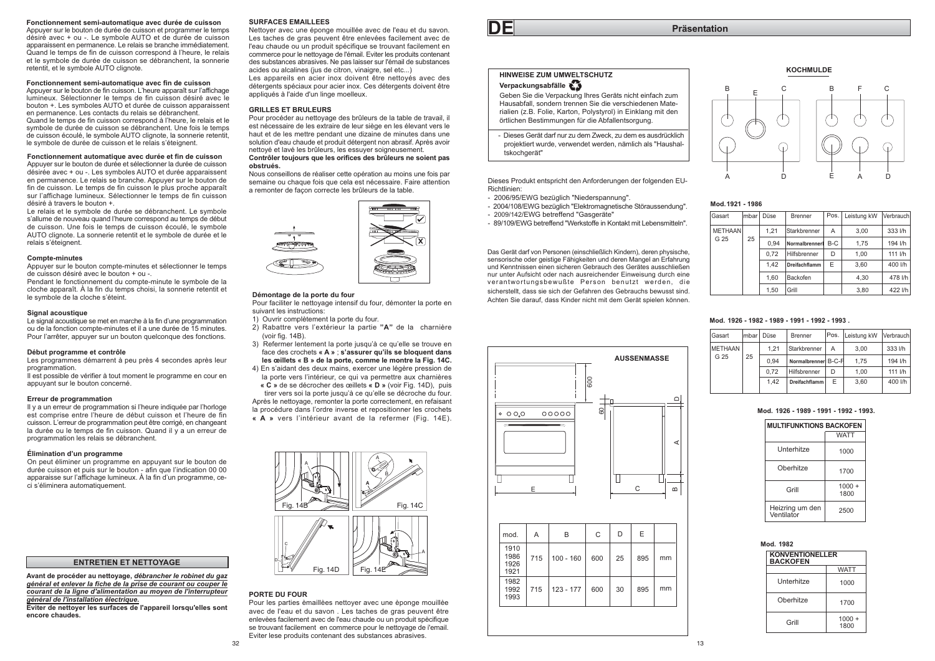#### Fonctionnement semi-automatique avec durée de cuisson

Appuyer sur le bouton de durée de cuisson et programmer le temps désiré avec + ou -. Le symbole AUTO et de durée de cuisson apparaissent en permanence. Le relais se branche immédiatement. Quand le temps de fin de cuisson correspond à l'heure, le relais et le symbole de durée de cuisson se débranchent. la sonnerie retentit, et le symbole AUTO clignote.

#### Fonctionnement semi-automatique avec fin de cuisson

Appuver sur le bouton de fin cuisson. L'heure apparaît sur l'affichage lumineux. Sélectionner le temps de fin cuisson désiré avec le bouton +. Les symboles AUTO et durée de cuisson apparaissent en permanence. Les contacts du relais se débranchent

Quand le temps de fin cuisson correspond à l'heure. le relais et le symbole de durée de cuisson se débranchent. Une fois le temps de cuisson écoulé. le symbole AUTO cliquote. la sonnerie retentit. le symbole de durée de cuisson et le relais s'éteignent.

#### Fonctionnement automatique avec durée et fin de cuisson

Appuyer sur le bouton de durée et sélectionner la durée de cuisson désirée avec + ou -. Les symboles AUTO et durée apparaissent en permanence. Le relais se branche. Appuver sur le bouton de fin de cuisson. Le temps de fin cuisson le plus proche apparaît sur l'affichage lumineux. Sélectionner le temps de fin cuisson désiré à travers le bouton +.

Le relais et le symbole de durée se débranchent. Le symbole s'allume de nouveau quand l'heure correspond au temps de début de cuisson. Une fois le temps de cuisson écoulé, le symbole AUTO clignote. La sonnerie retentit et le symbole de durée et le relais s'éteignent.

#### **Compte-minutes**

Appuyer sur le bouton compte-minutes et sélectionner le temps de cuisson désiré avec le bouton + ou -

Pendant le fonctionnement du compte-minute le symbole de la cloche apparaît. À la fin du temps choisi, la sonnerie retentit et le symbole de la cloche s'éteint.

#### Signal acoustique

Le signal acoustique se met en marche à la fin d'une programmation ou de la fonction compte-minutes et il a une durée de 15 minutes. Pour l'arrêter, appuver sur un bouton quelconque des fonctions.

#### Début programme et contrôle

Les programmes démarrent à peu près 4 secondes après leur programmation

Il est possible de vérifier à tout moment le programme en cour en appuyant sur le bouton concerné.

#### Erreur de programmation

Il y a un erreur de programmation si l'heure indiquée par l'horloge est comprise entre l'heure de début cuisson et l'heure de fin cuisson. L'erreur de programmation peut être corrigé, en changeant la durée ou le temps de fin cuisson. Quand il y a un erreur de programmation les relais se débranchent.

#### Élimination d'un programme

On peut éliminer un programme en appuyant sur le bouton de durée cuisson et puis sur le bouton - afin que l'indication 00 00 apparaisse sur l'affichage lumineux. À la fin d'un programme, ceci s'éliminera automatiquement.

#### **ENTRETIEN ET NETTOYAGE**

Avant de procéder au nettovage, débrancher le robinet du gaz général et enlever la fiche de la prise de courant ou couper le courant de la ligne d'alimentation au moven de l'interrupteur général de l'installation électrique.

Eviter de nettoyer les surfaces de l'appareil lorsqu'elles sont encore chaudes

#### **SURFACES EMAILLEES**

Nettover avec une éponge mouillée avec de l'eau et du savon. Les taches de gras peuvent être enlevées facilement avec de l'eau chaude ou un produit spécifique se trouvant facilement en commerce pour le nettoyage de l'émail. Eviter les produits contenant des substances abrasives. Ne pas laisser sur l'émail de substances acides ou alcalines (ius de citron, vinaigre, sel etc...) Les appareils en acier inox doivent être nettovés avec des

détergents spéciaux pour acier inox. Ces détergents doivent être appliqués à l'aide d'un linge moelleux.

#### **GRILLES ET BRULEURS**

Pour procéder au nettoyage des brûleurs de la table de travail, il est nécessaire de les extraire de leur siège en les élevant vers le haut et de les mettre pendant une dizaine de minutes dans une solution d'eau chaude et produit détergent non abrasif. Après avoir nettové et lavé les brûleurs les essuver soigneusement

#### Contrôler toujours que les orifices des brûleurs ne soient pas obstrués

Nous conseillons de réaliser cette opération au moins une fois par semaine ou chaque fois que cela est nécessaire. Faire attention a remonter de facon correcte les brûleurs de la table



#### Démontage de la porte du four

Pour faciliter le nettoyage intensif du four, démonter la porte en suivant les instructions:

- 1) Ouvrir complètement la porte du four.
- 2) Rabattre vers l'extérieur la partie "A" de la charnière (voir fig. 14B).
- 3) Refermer lentement la porte jusqu'à ce qu'elle se trouve en face des crochets « A » : s'assurer qu'ils se bloquent dans les œillets « B » de la porte, comme le montre la Fig. 14C.
- 4) En s'aidant des deux mains, exercer une légère pression de la porte vers l'intérieur, ce qui va permettre aux charnières « C » de se décrocher des œillets « D » (voir Fig. 14D), puis

tirer vers soi la porte jusqu'à ce qu'elle se décroche du four. Après le nettoyage, remonter la porte correctement, en refaisant la procédure dans l'ordre inverse et repositionner les crochets « A » vers l'intérieur avant de la refermer (Fig. 14E).



#### PORTE DU FOUR

Pour les parties èmaillèes nettoyer avec une èponge mouillèe avec de l'eau et du savon. Les taches de gras peuvent être enlevèes facilement avec de l'eau chaude ou un produit spècifique se trouvant facilement en commerce pour le nettovage de l'email. Eviter lese produits contenant des substances abrasives.



D

E

#### HINWEISE ZUM UMWELTSCHUTZ

## Verpackungsabfälle

Geben Sie die Verpackung Ihres Geräts nicht einfach zum Hausabfall, sondern trennen Sie die verschiedenen Materialien (z.B. Folie, Karton, Polystyrol) in Einklang mit den örtlichen Bestimmungen für die Abfallentsorgung.

- Dieses Gerät darf nur zu dem Zweck, zu dem es ausdrücklich projektiert wurde verwendet werden nämlich als "Haushaltskochgerät"

Dieses Produkt entspricht den Anforderungen der folgenden EU-**Pichtlinion** 

- 2006/95/EWG bezüglich "Niederspannung".
- 2004/108/EWG bezüglich "Elektromagnetische Störaussendung".
- 2009/142/EWG betreffend "Gasgeräte"
- 89/109/EWG betreffend "Werkstoffe in Kontakt mit Lebensmitteln".

Das Gerät darf von Personen (einschließlich Kindern), deren physische, sensorische oder geistige Fähigkeiten und deren Mangel an Erfahrung und Kenntnissen einen sicheren Gebrauch des Gerätes ausschließen nur unter Aufsicht oder nach ausreichender Einweisung durch eine verantwortungsbewußte Person benutzt werden, die sicherstellt, dass sie sich der Gefahren des Gebrauchs bewusst sind. Achten Sie darauf, dass Kinder nicht mit dem Gerät spielen können.

le

 $00000$ 

 $000$ 

mod.

1910 1986

1926

1921

1982

1992

1993

 $\overline{A}$ 

715

715

B

 $100 - 160$ 

 $123 - 177$ 

 $60<sub>1</sub>$ 

D  $E$ 

30

895

895

 $\mathsf{C}$ 

600 25

600

**AUSSENMASSE** 



**KOCHMULDE** 

B.

 $\mathcal{C}$ 

| lGasart        | lmbar l | Düse | Brenner              | Pos. I | Leistung kW | <b>IVerbrauch</b> |
|----------------|---------|------|----------------------|--------|-------------|-------------------|
| <b>METHAAN</b> |         | 1.21 | Starkbrenner         | А      | 3.00        | 333 l/h           |
| G 25           | 25      | 0.94 | Normalbrenner        | $B-C$  | 1.75        | 194 l/h           |
|                |         | 0.72 | Hilfsbrenner         | D      | 1.00        | 111 l/h           |
|                |         | 1.42 | <b>Dreifachflamm</b> | E      | 3.60        | 400 l/h           |
|                |         | 1.60 | Backofen             |        | 4.30        | 478 l/h           |
|                |         | 1.50 | Grill                |        | 3.80        | 422 l/h           |

#### Mod. 1926 - 1982 - 1989 - 1991 - 1992 - 1993

| Gasart         | lmbar l | Düse | Brenner             | Pos. | Leistung kW | Verbrauch |
|----------------|---------|------|---------------------|------|-------------|-----------|
|                |         |      |                     |      |             |           |
| <b>METHAAN</b> |         | 1.21 | Starkbrenner        | Α    | 3.00        | 333 l/h   |
| G 25           | 25      | 0.94 | Normalbrenner B-C-F |      | 1.75        | 194 l/h   |
|                |         | 0.72 | Hilfsbrenner        | D    | 1.00        | 111 l/h   |
|                |         | 1.42 | Dreifachflamm       | E    | 3.60        | 400 l/h   |
|                |         |      |                     |      |             |           |

#### Mod 1926 - 1989 - 1991 - 1992 - 1993

| <b>MULTIFUNKTIONS BACKOFEN</b> |                  |  |
|--------------------------------|------------------|--|
|                                | <b>WATT</b>      |  |
| <b>Unterhitze</b>              | 1000             |  |
| Oherhitze                      | 1700             |  |
| Grill                          | $1000 +$<br>1800 |  |
| Heizring um den<br>Ventilator  | 2500             |  |

| Mod. 1982                                 |                  |  |  |
|-------------------------------------------|------------------|--|--|
| <b>KONVENTIONELLER</b><br><b>BACKOFEN</b> |                  |  |  |
|                                           | <b>WATT</b>      |  |  |
| <b>Unterhitze</b>                         | 1000             |  |  |
| Oherhitze                                 | 1700             |  |  |
| Grill                                     | $1000 +$<br>1800 |  |  |

 $\mathsf{m}$ 

 $mm$ 

mm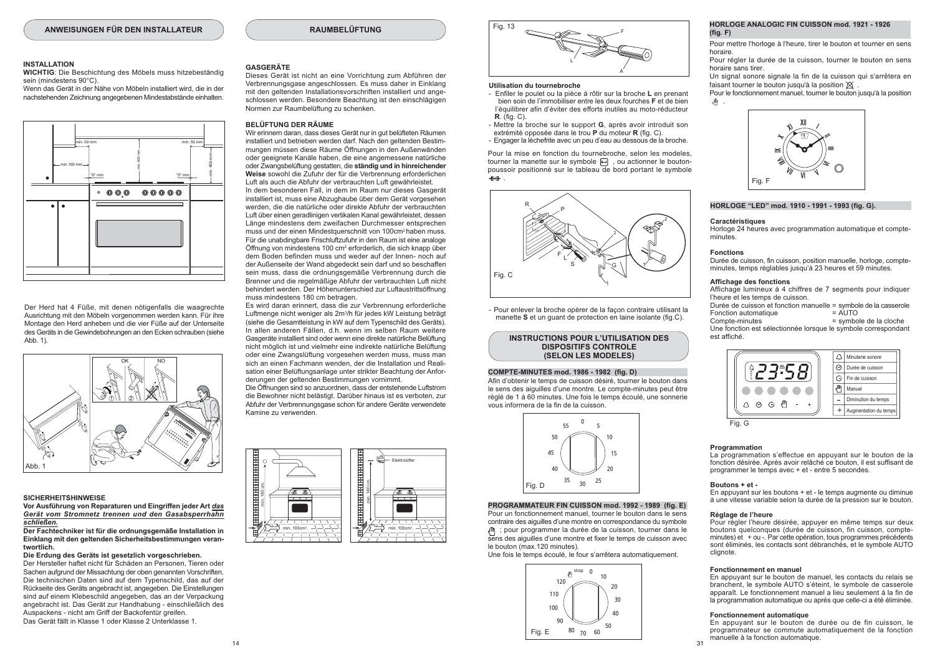#### **RAUMBELÜFTUNG**

#### **INSTALLATION**

WICHTIG: Die Beschichtung des Möbels muss hitzebeständig sein (mindestens 90°C).

Wenn das Gerät in der Nähe von Möbeln installiert wird, die in der nachstehenden Zeichnung angegebenen Mindestabstände einhalten.



Der Herd hat 4 Füße, mit denen nötigenfalls die waagrechte Ausrichtung mit den Möbeln vorgenommen werden kann Für ihre Montage den Herd anheben und die vier Füße auf der Unterseite des Geräts in die Gewindebohrungen an den Ecken schrauben (siehe Abb. 1).



#### **SICHERHEITSHINWEISE**

Vor Ausführung von Reparaturen und Eingriffen jeder Art das Gerät vom Stromnetz trennen und den Gasabsperrhahn schließen

#### Der Fachtechniker ist für die ordnungsgemäße Installation in Einklang mit den geltenden Sicherheitsbestimmungen verantwortlich.

#### Die Erdung des Geräts ist gesetzlich vorgeschrieben.

Der Hersteller haftet nicht für Schäden an Personen. Tieren oder Sachen aufgrund der Missachtung der oben genannten Vorschriften. Die technischen Daten sind auf dem Typenschild, das auf der Rückseite des Geräts angebracht ist, angegeben. Die Einstellungen sind auf einem Klebeschild angegeben, das an der Verpackung angebracht ist. Das Gerät zur Handhabung - einschließlich des Auspackens - nicht am Griff der Backofentür greifen. Das Gerät fällt in Klasse 1 oder Klasse 2 Unterklasse 1.

#### GASGERÄTE

Dieses Gerät ist nicht an eine Vorrichtung zum Abführen der Verbrennungsgase angeschlossen. Es muss daher in Einklang mit den geltenden Installationsvorschriften installiert und angeschlossen werden. Besondere Beachtung ist den einschlägigen Normen zur Raumbelüftung zu schenken

#### **BELÜETUNG DER RÄUME**

Wir erinnern daran, dass dieses Gerät nur in gut belüfteten Räumen installiert und betrieben werden darf. Nach den geltenden Bestimmungen müssen diese Räume Öffnungen in den Außenwänden oder geeignete Kanäle haben, die eine angemessene natürliche oder Zwangsbelüftung gestatten, die ständig und in hinreichender Weise sowohl die Zufuhr der für die Verbrennung erforderlichen Luft als auch die Abfuhr der verbrauchten Luft gewährleistet.

In dem besonderen Fall, in dem im Raum nur dieses Gasgerät installiert ist, muss eine Abzughaube über dem Gerät vorgesehen werden, die die natürliche oder direkte Abfuhr der verbrauchten Luft über einen geradlinigen vertikalen Kanal gewährleistet, dessen Länge mindestens dem zweifachen Durchmesser entsprechen muss und der einen Mindestauerschnitt von 100cm<sup>2</sup> haben muss. Für die unabdingbare Frischluftzufuhr in den Raum ist eine analoge Öffnung von mindestens 100 cm<sup>2</sup> erforderlich, die sich knapp über dem Boden befinden muss und weder auf der Innen- noch auf der Außenseite der Wand abgedeckt sein darf und so beschaffen sein muss, dass die ordnungsgemäße Verbrennung durch die Brenner und die regelmäßige Abfuhr der verbrauchten Luft nicht behindert werden. Der Höhenunterschied zur Luftaustrittsöffnung muss mindestens 180 cm betragen.

Es wird daran erinnert, dass die zur Verbrennung erforderliche Luftmenge nicht weniger als 2m<sup>3</sup>/h für jedes kW Leistung beträgt (siehe die Gesamtleistung in kW auf dem Typenschild des Geräts). In allen anderen Fällen, d.h. wenn im selben Raum weitere Gasgeräte installiert sind oder wenn eine direkte natürliche Belüftung nicht möglich ist und vielmehr eine indirekte natürliche Belüftung oder eine Zwangslüftung vorgesehen werden muss, muss man sich an einen Fachmann wenden, der die Installation und Realisation einer Belüftungsanlage unter strikter Beachtung der Anforderungen der geltenden Bestimmungen vornimmt

Die Öffnungen sind so anzuordnen, dass der entstehende Luftstrom die Bewohner nicht belästigt. Darüber hinaus ist es verboten, zur Abfuhr der Verbrennungsgase schon für andere Geräte verwendete Kamine zu verwenden





#### Utilisation du tournebroche

- Enfiler le poulet ou la pièce à rôtir sur la broche L en prenant bien soin de l'immobiliser entre les deux fourches F et de bien l'équilibrer afin d'éviter des efforts inutiles au moto-réducteur  $R$ . (fig. C).
- Mettre la broche sur le support G, après avoir introduit son extrémité opposée dans le trou P du moteur R (fig. C).
- Engager la lèchefrite avec un peu d'eau au dessous de la broche.

Pour la mise en fonction du tournebroche, selon les modeles tourner la manette sur le symbole n . ou actionner le boutonpoussoir positionnè sur le tableau de bord portant le symbole  $\leftrightarrow$ 



- Pour enlever la broche opérer de la facon contraire utilisant la manette S et un quant de protection en laine isolante (fig.C).

#### **INSTRUCTIONS POUR L'UTILISATION DES** DISPOSITIES CONTROLE (SELON LES MODELES)

#### COMPTE-MINUTES mod. 1986 - 1982 (fig. D)

Afin d'obtenir le temps de cuisson désiré, tourner le bouton dans le sens des ajouilles d'une montre. Le compte-minutes peut être réglé de 1 à 60 minutes. Une fois le temps écoulé, une sonnerie vous informera de la fin de la cuisson.



#### PROGRAMMATEUR FIN CUISSON mod. 1992 - 1989 (fig. E)

Pour un fonctionnement manuel tourner le bouton dans le sens contraire des ajquilles d'une montre en correspondance du symbole pour programmer la durée de la cuisson, tourner dans le sens des aiguilles d'une montre et fixer le temps de cuisson avec le bouton (max.120 minutes).

Une fois le temps écoulé, le four s'arrêtera automatiquement.

stop 0  $\ddot{\mathbf{a}}$  $10$  $120$ 110  $\overline{z}$  $100$ 50  $80$   $70$   $60$ Fig. E

#### HORLOGE ANALOGIC FIN CUISSON mod. 1921 - 1926  $(fia, F)$

Pour mettre l'horloge à l'heure, tirer le bouton et tourner en sens horaire

Pour régler la durée de la cuisson, tourner le bouton en sens horaire sans tirer.

Un signal sonore signale la fin de la cuisson qui s'arrêtera en faisant tourner le bouton jusqu'à la position  $\chi$ 

Pour le fonctionnement manuel, tourner le bouton jusqu'à la position 神工



#### HORLOGE "LED" mod. 1910 - 1991 - 1993 (fig. G).

#### Caractéristiques

Horloge 24 heures avec programmation automatique et compte $min <sub>1</sub>$ 

#### **Fonctions**

Durée de cuisson, fin cuisson, position manuelle, horloge, compteminutes, temps réglables jusqu'à 23 heures et 59 minutes.

#### Affichage des fonctions

Affichage lumineux à 4 chiffres de 7 segments pour indiquer l'heure et les temps de cuisson. Durée de cuisson et fonction manuelle = symbole de la casserole Fonction automatique  $=$  AUTO Compte-minutes = symbole de la cloche

Une fonction est sélectionnée lorsque le symbole correspondant est affiché.





#### Programmation

La programmation s'effectue en appuyant sur le bouton de la fonction désirée. Après avoir relâché ce bouton, il est suffisant de programmer le temps avec + et - entre 5 secondes.

#### Boutons + et -

En appuyant sur les boutons + et - le temps augmente ou diminue à une vitesse variable selon la durée de la pression sur le bouton.

#### Réglage de l'heure

Pour régler l'heure désirée, appuyer en même temps sur deux boutons quelconques (durée de cuisson, fin cuisson, compteminutes) et + ou -. Par cette opération, tous programmes précédents sont éliminés, les contacts sont débranchés, et le symbole AUTO clignote.

#### Fonctionnement en manuel

En appuyant sur le bouton de manuel, les contacts du relais se branchent, le symbole AUTO s'éteint, le symbole de casserole apparaît. Le fonctionnement manuel a lieu seulement à la fin de la programmation automatique ou après que celle-ci a été éliminée.

#### Fonctionnement automatique

 $31$ 

En appuyant sur le bouton de durée ou de fin cuisson, le programmateur se commute automatiquement de la fonction manuelle à la fonction automatique.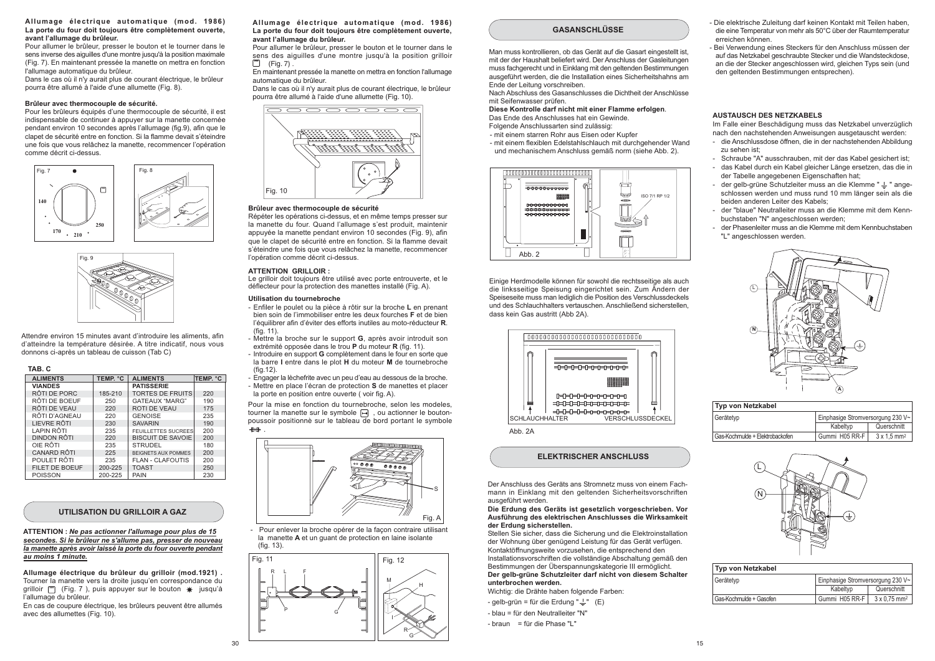#### Allumage électrique automatique (mod. 1986) La porte du four doit toujours être complètement ouverte, avant l'allumage du brûleur.

Pour allumer le brûleur, presser le bouton et le tourner dans le sens inverse des aiguilles d'une montre jusqu'à la position maximale (Fig. 7). En maintenant pressée la manette on mettra en fonction l'allumane automatique du brûleur

Dans le cas où il n'y aurait plus de courant électrique, le brûleur pourra être allumé à l'aide d'une allumette (Fig. 8).

#### Brûleur avec thermocouple de sécurité.

Pour les brûleurs équipés d'une thermocouple de sécurité, il est indispensable de continuer à appuyer sur la manette concernée pendant environ 10 secondes après l'allumage (fig.9), afin que le clapet de sécurité entre en fonction. Si la flamme devait s'éteindre une fois que vous relâchez la manette, recommencer l'opération comme décrit ci-dessus.





Attendre environ 15 minutes avant d'introduire les aliments, afin d'atteindre la température désirée. A titre indicatif nous vous donnons ci-après un tableau de cuisson (Tab C)

|--|--|--|--|--|--|

| <b>ALIMENTS</b>    | TEMP. °C | <b>ALIMENTS</b>            | <b>TEMP. °C</b> |
|--------------------|----------|----------------------------|-----------------|
| <b>VIANDES</b>     |          | <b>PATISSERIE</b>          |                 |
| RÔTI DE PORC       | 185-210  | <b>TORTES DE FRUITS</b>    | 220             |
| RÔTI DE BOEUF      | 250      | <b>GATEAUX "MARG"</b>      | 190             |
| RÔTI DE VEAU       | 220      | <b>ROTI DE VEAU</b>        | 175             |
| RÔTI D'AGNEAU      | 220      | <b>GENOISE</b>             | 235             |
| LIEVRE RÔTI        | 230      | <b>SAVARIN</b>             | 190             |
| LAPIN RÔTI         | 235      | <b>FEUILLETTES SUCREES</b> | 200             |
| DINDON RÔTI        | 220      | <b>BISCUIT DE SAVOIE</b>   | 200             |
| OIE RÔTI           | 235      | <b>STRUDEL</b>             | 180             |
| <b>CANARD RÔTI</b> | 225      | <b>BEIGNETS AUX POMMES</b> | 200             |
| POULET RÔTI        | 235      | <b>FLAN - CLAFOUTIS</b>    | 200             |
| FILET DE BOEUF     | 200-225  | <b>TOAST</b>               | 250             |
| <b>DOICCON</b>     | 200 225  | DAINI                      | 220             |

## **UTILISATION DU GRILLOIR A GAZ**

ATTENTION : Ne pas actionner l'allumage pour plus de 15 secondes. Si le brûleur ne s'allume pas, presser de nouveau la manette après avoir laissé la porte du four ouverte pendant au moins 1 minute.

Allumage électrique du brûleur du grilloir (mod.1921). Tourner la manette vers la droite jusqu'en correspondance du grilloir  $\Box$  (Fig. 7), puis appuyer sur le bouton  $\angle$  jusqu'à l'allumage du brûleur.

En cas de coupure électrique, les brûleurs peuvent être allumés avec des allumettes (Fig. 10).

 $30^{\circ}$ 

#### Allumage électrique automatique (mod. 1986) La porte du four doit toujours être complètement ouverte. avant l'allumage du brûleur.

Pour allumer le brûleur, presser le bouton et le tourner dans le sens des aiguilles d'une montre jusqu'à la position grilloir

 $\Box$  (Fig. 7). En maintenant pressée la manette on mettra en fonction l'allumage

automatique du brûleur. Dans le cas où il n'y aurait plus de courant électrique, le brûleur

pourra être allumé à l'aide d'une allumette (Fig. 10)



#### Brûleur avec thermocouple de sécurité

Répéter les opérations ci-dessus, et en même temps presser sur la manette du four. Quand l'allumage s'est produit, maintenir appuyée la manette pendant environ 10 secondes (Fig. 9), afin que le clapet de sécurité entre en fonction. Si la flamme devait s'éteindre une fois que vous relâchez la manette, recommencer l'opération comme décrit ci-dessus.

#### **ATTENTION GRILLOIR:**

Le grilloir doit toujours être utilisé avec porte entrouverte, et le déflecteur pour la protection des manettes installé (Fig. A).

#### Utilisation du tournebroche

- Enfiler le noulet ou la pièce à rôtir sur la broche L en prenant bien soin de l'immobiliser entre les deux fourches F et de bien l'équilibrer afin d'éviter des efforts inutiles au moto-réducteur R  $(fiq. 11)$ .
- Mettre la broche sur le support G. après avoir introduit son extrémité opposée dans le trou P du moteur R (fig. 11).
- Introduire en support G complètement dans le four en sorte que la barre I entre dans le plot H du moteur M de tournebroche  $(fin 12)$
- Engager la lèchefrite avec un peu d'eau au dessous de la broche. - Mettre en place l'écran de protection S de manettes et placer
- la porte en position entre ouverte (voir fig. A).

Pour la mise en fonction du tournebroche, selon les modeles, tourner la manette sur le symbole  $\Box$ , ou actionner le boutonpoussoir positionnè sur le tableau de bord portant le symbole



- Pour enlever la broche opérer de la façon contraire utilisant la manette A et un quant de protection en laine isolante



#### **GASANSCHLÜSSE**

Man muss kontrollieren, ob das Gerät auf die Gasart eingestellt ist. mit der der Haushalt beliefert wird. Der Anschluss der Gasleitungen muss fachgerecht und in Einklang mit den geltenden Bestimmungen ausgeführt werden, die die Installation eines Sicherheitshahns am Ende der Leitung vorschreiben.

Nach Abschluss des Gasanschlusses die Dichtheit der Anschlüsse mit Seifenwasser prüfen.

Diese Kontrolle darf nicht mit einer Flamme erfolgen. Das Ende des Anschlusses hat ein Gewinde.

Folgende Anschlussarten sind zulässig

- mit einem starren Rohr aus Eisen oder Kupfer

- mit einem flexiblen Edelstahlschlauch mit durchgehender Wand und mechanischem Anschluss gemäß norm (siehe Abb. 2).



Einige Herdmodelle können für sowohl die rechtsseitige als auch die linksseitige Speisung eingerichtet sein. Zum Ändern der Speiseseite muss man lediglich die Position des Verschlussdeckels und des Schlauchhalters vertauschen. Anschließend sicherstellen. dass kein Gas austritt (Abb 2A).



## **FI EKTRISCHER ANSCHLUSS**

Der Anschluss des Geräts ans Stromnetz muss von einem Fachmann in Einklang mit den geltenden Sicherheitsvorschriften ausgeführt werden.

#### Die Erdung des Geräts ist gesetzlich vorgeschrieben. Vor Ausführung des elektrischen Anschlusses die Wirksamkeit der Erdung sicherstellen.

Stellen Sie sicher, dass die Sicherung und die Elektroinstallation der Wohnung über genügend Leistung für das Gerät verfügen. Kontaktöffnungsweite vorzusehen die entsprechend den Installationsvorschriften die vollständige Abschaltung gemäß den Bestimmungen der Überspannungskategorie III ermöglicht. Der gelb-grüne Schutzleiter darf nicht von diesem Schalter unterbrochen werden.

Wichtig: die Drähte haben folgende Farben:

- gelb-grün = für die Erdung " $\frac{1}{x}$ " (E) - blau = für den Neutralleiter "N"

- braun = für die Phase "I"

- Die elektrische Zuleitung darf keinen Kontakt mit Teilen haben die eine Temperatur von mehr als 50°C über der Raumtemperatur erreichen können
- Bei Verwendung eines Steckers für den Anschluss müssen der auf das Netzkabel geschraubte Stecker und die Wandsteckdose. an die der Stecker angeschlossen wird, gleichen Typs sein (und den geltenden Bestimmungen entsprechen).

#### AUSTAUSCH DES NETZKARELS

Im Falle einer Beschädigung muss das Netzkabel unverzüglich nach den nachstehenden Anweisungen ausgetauscht werden:

- die Anschlussdose öffnen, die in der nachstehenden Abbildung zu sahan ist:
- Schraube "A" ausschrauben, mit der das Kabel gesichert ist: - das Kabel durch ein Kabel gleicher Länge ersetzen, das die in der Tabelle angegebenen Eigenschaften hat:
- der gelb-grüne Schutzleiter muss an die Klemme "  $\perp$  " angeschlossen werden und muss rund 10 mm länger sein als die beiden anderen Leiter des Kabels:
- der "blaue" Neutralleiter muss an die Klemme mit dem Kennbuchstaben "N" angeschlossen werden:
- der Phasenleiter muss an die Klemme mit dem Kennbuchstaben "L" angeschlossen werden.



| Typ von Netzkabel               |                                   |                                |
|---------------------------------|-----------------------------------|--------------------------------|
| Gerätetyp                       | Einphasige Stromversorgung 230 V~ |                                |
|                                 | Kabeltvp                          | Querschnitt                    |
| Gas-Kochmulde + Elektrobackofen | Gummi H05 RR-F                    | $3 \times 1.5$ mm <sup>2</sup> |



| Typ von Netzkabel       |                                                   |  |
|-------------------------|---------------------------------------------------|--|
| Gerätetyp               | Einphasige Stromversorgung 230 V~                 |  |
|                         | Kabeltvp<br>Querschnitt                           |  |
| Gas-Kochmulde + Gasofen | $3 \times 0.75$ mm <sup>2</sup><br>Gummi H05 RR-F |  |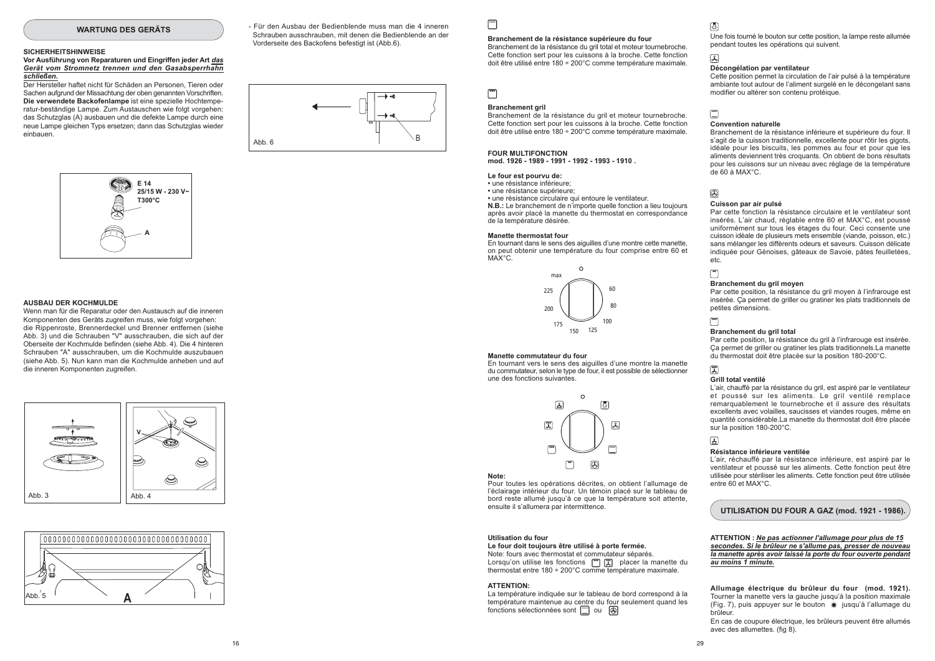#### **WARTUNG DES GERÄTS**

#### **SICHERHEITSHINWEISE**

Vor Ausführung von Reparaturen und Eingriffen jeder Art das Gerät vom Stromnetz trennen und den Gasabsperrhahn schließen.

Der Hersteller haftet nicht für Schäden an Personen, Tieren oder Sachen aufgrund der Missachtung der oben genannten Vorschriften. Die verwendete Backofenlampe ist eine spezielle Hochtemperatur-beständige Lampe. Zum Austauschen wie folgt vorgehen: das Schutzglas (A) ausbauen und die defekte Lampe durch eine neue Lampe gleichen Typs ersetzen: dann das Schutzglas wieder einhauen



#### AUSBALLDER KOCHMULDE

Wenn man für die Reparatur oder den Austausch auf die inneren Komponenten des Geräts zugreifen muss, wie folgt vorgehen: die Rippenroste. Brennerdeckel und Brenner entfernen (siehe Abb. 3) und die Schrauben "V" ausschrauben, die sich auf der Oberseite der Kochmulde befinden (siehe Abb. 4). Die 4 hinteren Schrauben "A" ausschrauben, um die Kochmulde auszubauen (siehe Abb. 5). Nun kann man die Kochmulde anheben und auf die inneren Komponenten zugreifen.





- Für den Ausbau der Bedienblende muss man die 4 inneren Schrauben ausschrauben, mit denen die Bedienblende an der Vorderseite des Backofens befestigt ist (Abb.6).



 $\Box$ 

#### Branchement de la résistance supérieure du four

Branchement de la résistance du gril total et moteur tournebroche. Cette fonction sert pour les cuissons à la broche. Cette fonction doit être utilisé entre 180 + 200°C comme température maximale.

⊡

#### **Branchement gril**

Branchement de la résistance du gril et moteur tournebroche. Cette fonction sert pour les cuissons à la broche. Cette fonction doit être utilisé entre 180 + 200°C comme température maximale.

**FOUR MULTIFONCTION** mod. 1926 - 1989 - 1991 - 1992 - 1993 - 1910

#### Le four est pourvu de:

· une résistance inférieure:

• une résistance supérieure

• une résistance circulaire qui entoure le ventilateur. N.B.: Le branchement de n'importe quelle fonction a lieu toujours après avoir placé la manette du thermostat en correspondance de la température désirée.

#### **Manette thermostat four**

En tournant dans le sens des aiguilles d'une montre cette manette, on peut obtenir une température du four comprise entre 60 et MAX°C.



#### Manette commutateur du four

En tournant vers le sens des aiguilles d'une montre la manette du commutateur, selon le type de four, il est possible de sélectionner une des fonctions suivantes.

> $\mathcal{C}$  $\sqrt{2}$ 圆 区 冨  $\Box$  $\circledR$

#### Note:

Pour toutes les opérations décrites, on obtient l'allumage de l'éclairage intérieur du four. Un témoin placé sur le tableau de bord reste allumé jusqu'à ce que la température soit attente. ensuite il s'allumera par intermittence.

#### Utilisation du four

#### Le four doit toujours être utilisé à porte fermée.

Note: fours avec thermostat et commutateur séparés. Lorsqu'on utilise les fonctions [m] [T] placer la manette du thermostat entre  $180 \div 200^{\circ}$ C comme température maximale.

#### **ATTENTION:**

La température indiquée sur le tableau de bord correspond à la température maintenue au centre du four seulement quand les fonctions sélectionnées sont  $\Box$  ou

# ந

Une fois tourné le bouton sur cette position, la lampe reste allumée nendant toutes les opérations qui suivent

#### 囚

#### Décongélation par ventilateur

Cette position permet la circulation de l'air pulsé à la température ambiante tout autour de l'aliment surgelé en le décongelant sans modifier ou altérer son contenu protéique.

# $\Box$

#### **Convention naturelle**

Branchement de la résistance inférieure et supérieure du four. Il s'agit de la cuisson traditionnelle, excellente pour rôtir les gigots. idéale pour les biscuits. les pommes au four et pour que les aliments deviennent très croquants. On obtient de bons résultats pour les cuissons sur un niveau avec réglage de la température  $de 60$  à MAX°C.

# $\circledR$

#### Cuisson par air pulsé

Par cette fonction la résistance circulaire et le ventilateur sont insérés. L'air chaud, réglable entre 60 et MAX°C, est poussé uniformément sur tous les étages du four. Ceci consente une cuisson idéale de plusieurs mets ensemble (viande, poisson, etc.) sans mélanger les différents odeurs et saveurs. Cuisson délicate indiquée pour Génoises, gâteaux de Savoie, pâtes feuilletées, etc.

## $\sqrt{2}$

#### Branchement du gril moyen

Par cette position, la résistance du gril moyen à l'infrarouge est insérée. Ça permet de griller ou gratiner les plats traditionnels de petites dimensions.

## $\Box$

#### Branchement du gril total

Par cette position, la résistance du gril à l'infrarouge est insérée. Ca permet de griller ou gratiner les plats traditionnels. La manette du thermostat doit être placée sur la position 180-200°C.

 $29$ 

#### Grill total ventilé

L'air, chauffé par la résistance du gril, est aspiré par le ventilateur et poussé sur les aliments. Le gril ventilé remplace remarquablement le tournebroche et il assure des résultats excellents avec volailles, saucisses et viandes rouges, même en quantité considérable.La manette du thermostat doit être placée sur la position 180-200°C.

## $\sqrt{2}$

#### Résistance inférieure ventilée

L'air, réchauffé par la résistance inférieure, est aspiré par le ventilateur et poussé sur les aliments. Cette fonction peut être utilisée pour stériliser les aliments. Cette fonction peut être utilisée entre 60 et MAX°C.

UTILISATION DU FOUR A GAZ (mod. 1921 - 1986).

ATTENTION : Ne pas actionner l'allumage pour plus de 15 secondes. Si le brûleur ne s'allume pas, presser de nouveau la manette après avoir laissé la porte du four ouverte pendant au moins 1 minute.

Allumage électrique du brûleur du four (mod. 1921). Tourner la manette vers la gauche jusqu'à la position maximale (Fig. 7), puis appuyer sur le bouton \* jusqu'à l'allumage du hrûleur

En cas de coupure électrique, les brûleurs peuvent être allumés avec des allumettes. (fig 8).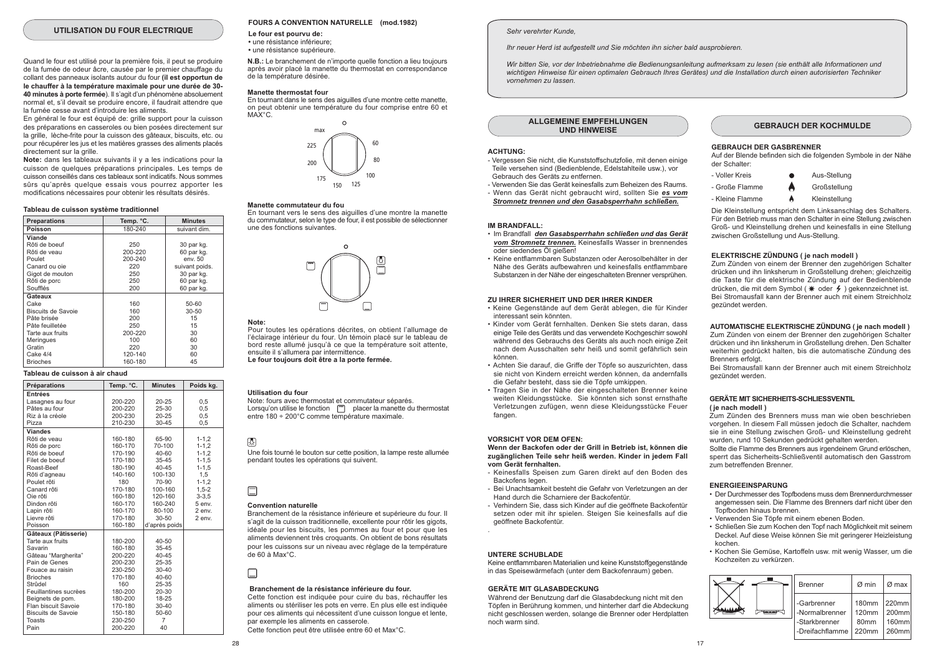#### UTILISATION DU FOUR ELECTRIQUE

Quand le four est utilisé pour la première fois, il peut se produire de la fumée de odeur âcre, causée par le premier chauffage du collant des panneaux isolants autour du four (il est opportun de le chauffer à la température maximale pour une durée de 30-40 minutes à porte fermée). Il s'agit d'un phénomène absoluement normal et, s'il devait se produire encore, il faudrait attendre que la fumée cesse avant d'introduire les aliments.

En général le four est équipé de: grille support pour la cuisson des préparations en casseroles ou bien posées directement sur la grille, lèche-frite pour la cuisson des gâteaux, biscuits, etc. ou pour récupérer les jus et les matières grasses des aliments placés directement sur la grille.

Note: dans les tableaux suivants il y a les indications pour la cuisson de quelques préparations principales. Les temps de cuisson conseillés dans ces tableaux sont indicatifs. Nous sommes sûrs qu'après quelque essais vous pourrez apporter les modifications nécessaires pour obtenir les résultats désirés.

#### Tableau de cuisson système traditionnel

| <b>Preparations</b> | Temp. °C. | <b>Minutes</b> |
|---------------------|-----------|----------------|
| Poisson             | 180-240   | suivant dim.   |
| Viande              |           |                |
| Rôti de boeuf       | 250       | 30 par kg.     |
| Rôti de veau        | 200-220   | 60 par kg.     |
| Poulet              | 200-240   | env. 50        |
| Canard ou oie       | 220       | suivant poids. |
| Gigot de mouton     | 250       | 30 par kg.     |
| Rôti de porc        | 250       | 60 par kg.     |
| Soufflés            | 200       | 60 par kg.     |
| Gateaux             |           |                |
| Cake                | 160       | $50 - 60$      |
| Biscuits de Savoie  | 160       | $30 - 50$      |
| Pâte brisée         | 200       | 15             |
| Pâte feuilletée     | 250       | 15             |
| Tarte aux fruits    | 200-220   | 30             |
| Meringues           | 100       | 60             |
| Gratin              | 220       | 30             |
| Cake 4/4            | 120-140   | 60             |
| <b>Brioches</b>     | 160-180   | 45             |

#### Tableau de cuisson à air chaud

| Préparations              | Temp. °C. | <b>Minutes</b> | Poids kg.  |
|---------------------------|-----------|----------------|------------|
| <b>Entrées</b>            |           |                |            |
| Lasagnes au four          | 200-220   | $20 - 25$      | 0,5        |
| Pâtes au four             | 200-220   | 25-30          | 0.5        |
| Riz à la créole           | 200-230   | $20 - 25$      | 0,5        |
| Pizza                     | 210-230   | 30-45          | 0,5        |
| <b>Viandes</b>            |           |                |            |
| Rôti de veau              | 160-180   | 65-90          | $1 - 1, 2$ |
| Rôti de porc              | 160-170   | 70-100         | $1 - 1, 2$ |
| Rôti de boeuf             | 170-190   | $40 - 60$      | $1 - 1, 2$ |
| Filet de boeuf            | 170-180   | 35-45          | $1 - 1, 5$ |
| Roast-Beef                | 180-190   | $40 - 45$      | $1 - 1, 5$ |
| Rôti d'agneau             | 140-160   | 100-130        | 1,5        |
| Poulet rôti               | 180       | 70-90          | $1 - 1, 2$ |
| Canard rôti               | 170-180   | 100-160        | $1,5-2$    |
| Oie rôti                  | 160-180   | 120-160        | $3 - 3.5$  |
| Dindon rôti               | 160-170   | 160-240        | 5 env.     |
| Lapin rôti                | 160-170   | 80-100         | 2 env.     |
| Lievre rôti               | 170-180   | 30-50          | 2 env.     |
| Poisson                   | 160-180   | d'après poids  |            |
| Gâteaux (Pâtisserie)      |           |                |            |
| Tarte aux fruits          | 180-200   | 40-50          |            |
| Savarin                   | 160-180   | 35-45          |            |
| Gâteau "Margherita"       | 200-220   | 40-45          |            |
| Pain de Genes             | 200-230   | 25-35          |            |
| Fouace au raisin          | 230-250   | 30-40          |            |
| <b>Brioches</b>           | 170-180   | 40-60          |            |
| Strûdel                   | 160       | 25-35          |            |
| Feuillantines sucrèes     | 180-200   | 20-30          |            |
| Beignets de pom.          | 180-200   | 18-25          |            |
| Flan biscuit Savoie       | 170-180   | 30-40          |            |
| <b>Biscuits de Savoie</b> | 150-180   | 50-60          |            |
| <b>Toasts</b>             | 230-250   | $\overline{7}$ |            |
| Pain                      | 200-220   | $\Delta \cap$  |            |

#### FOURS A CONVENTION NATURELLE (mod.1982)

Le four est pourvu de: · une résistance inférieure:

· une résistance supérieure.

N.B.: Le branchement de n'importe quelle fonction a lieu toujours après avoir placé la manette du thermostat en correspondance de la température désirée.

#### Manette thermostat four

En tournant dans le sens des aiguilles d'une montre cette manette on peut obtenir une température du four comprise entre 60 et  $MAX^{\circ}C$ 



#### Manette commutateur du fou

En tournant vers le sens des aiguilles d'une montre la manette du commutateur, selon le type de four, il est possible de sélectionner une des fonctions suivantes



#### Note:

Pour toutes les opérations décrites, on obtient l'allumage de l'éclairage intérieur du four Un témoin placé sur le tableau de bord reste allumé jusqu'à ce que la température soit attente, ensuite il s'allumera par intermittence. Le four toujours doit être a la porte fermée.

#### Utilisation du four

Note: fours avec thermostat et commutateur séparés Lorsqu'on utilise le fonction [m] placer la manette du thermostat entre 180 ÷ 200°C comme température maximale.

#### 國

Une fois tourné le bouton sur cette position, la lampe reste allumée pendant toutes les opérations qui suivent.

#### **Convention naturelle**

Branchement de la résistance inférieure et supérieure du four II s'agit de la cuisson traditionnelle, excellente pour rôtir les gigots, idéale pour les biscuits, les pommes au four et pour que les aliments deviennent très croquants. On obtient de bons résultats pour les cuissons sur un niveau avec réglage de la température de 60 à Max°C.

#### Branchement de la résistance inférieure du four.

Cette fonction est indiquée pour cuire du bas, réchauffer les aliments ou stériliser les pots en verre. En plus elle est indiquée pour ces aliments qui nécessitent d'une cuisson longue et lente. par exemple les aliments en casserole. Cette fonction peut être utilisée entre 60 et Max°C.

#### Sehr verehrter Kunde

Ihr neuer Herd ist aufgestellt und Sie möchten ihn sicher bald ausprobieren.

Wir bitten Sie vor der Inbetriebnahme die Bedienungsanleitung aufmerksam zu lesen (sie enthält alle Informationen und wichtigen Hinweise für einen optimalen Gebrauch Ihres Gerätes) und die Installation durch einen autorisierten Techniker vornehmen zu lassen

**ALLGEMEINE EMPFEHLUNGEN UND HINWEISE** 

#### **ACHTUNG:**

- Vergessen Sie nicht, die Kunststoffschutzfolie, mit denen einige Teile versehen sind (Bedienblende, Edelstahlteile usw.), vor Gebrauch des Geräts zu entfernen.
- Verwenden Sie das Gerät keinesfalls zum Beheizen des Raums - Wenn das Gerät nicht gebraucht wird, sollten Sie es vom
- Stromnetz trennen und den Gasabsperrhahn schließen.

#### **IM BRANDFALL:**

- . Im Brandfall, den Gasabsperrhahn schließen und das Geräft vom Stromnetz trennen. Keinesfalls Wasser in brennendes oder siedendes Öl gießen!
- Keine entflammbaren Substanzen oder Aerosolbehälter in der Nähe des Geräts aufbewahren und keinesfalls entflammbare Substanzen in der Nähe der eingeschalteten Brenner versprühen.

#### ZU IHRER SICHERHEIT UND DER IHRER KINDER

- · Keine Gegenstände auf dem Gerät ablegen, die für Kinder interessant sein könnten
- Kinder vom Gerät fernhalten. Denken Sie stets daran, dass einige Teile des Geräts und das verwendete Kochgeschirr sowohl während des Gebrauchs des Geräts als auch noch einige Zeit nach dem Ausschalten sehr heiß und somit gefährlich sein können
- · Achten Sie darauf, die Griffe der Töpfe so auszurichten, dass sie nicht von Kindern erreicht werden können, da andernfalls die Gefahr besteht, dass sie die Tönfe umkinnen
- · Tragen Sie in der Nähe der eingeschalteten Brenner keine weiten Kleidungsstücke. Sie könnten sich sonst ernsthafte Verletzungen zufügen, wenn diese Kleidungsstücke Feuer fangen.

#### VORSICHT VOR DEM OFFN.

Wenn der Backofen oder der Grill in Betrieb ist, können die zugänglichen Teile sehr heiß werden. Kinder in jedem Fall vom Gerät fernhalten.

- Keinesfalls Speisen zum Garen direkt auf den Boden des Backofens legen
- Bei Unachtsamkeit besteht die Gefahr von Verletzungen an der Hand durch die Scharniere der Backofentür.
- Verhindern Sie, dass sich Kinder auf die geöffnete Backofentür setzen oder mit ihr spielen. Steigen Sie keinesfalls auf die geöffnete Backofentür.

#### **UNTERE SCHUBLADE**

Keine entflammbaren Materialien und keine Kunststoffgegenstände in das Speisewärmefach (unter dem Backofenraum) geben.

#### **GERÄTE MIT GLASABDECKUNG**

Während der Benutzung darf die Glasabdeckung nicht mit den Töpfen in Berührung kommen, und hinterher darf die Abdeckung nicht geschlossen werden, solange die Brenner oder Herdplatten noch warm sind.

**GEBRAUCH DER KOCHMULDE** 

#### **GEBRAUCH DER GASBRENNER**

Auf der Blende befinden sich die folgenden Symbole in der Nähe der Schalter:

- Voller Kreis Aus-Stellung - Große Flamme Großstellung - Kleine Flamme
	- Kleinstellung

Die Kleinstellung entspricht dem Linksanschlag des Schalters. Für den Betrieb muss man den Schalter in eine Stellung zwischen Groß- und Kleinstellung drehen und keinesfalls in eine Stellung zwischen Großstellung und Aus-Stellung.

#### ELEKTRISCHE ZÜNDUNG ( ie nach modell )

Zum Zünden von einem der Brenner den zugehörigen Schalter drücken und ihn linksherum in Großstellung drehen; gleichzeitig die Taste für die elektrische Zündung auf der Bedienblende drücken, die mit dem Symbol (\* oder 4) gekennzeichnet ist. Bei Stromausfall kann der Brenner auch mit einem Streichholz gezündet werden.

#### AUTOMATISCHE ELEKTRISCHE ZÜNDUNG ( je nach modell )

Zum Zünden von einem der Brenner den zugehörigen Schalter drücken und ihn linksherum in Großstellung drehen. Den Schalter weiterhin gedrückt halten, bis die automatische Zündung des Brenners erfolgt.

Bei Stromausfall kann der Brenner auch mit einem Streichholz gezündet werden

#### **GERÄTE MIT SICHERHEITS-SCHLIESSVENTIL** (ie nach modell)

Zum Zünden des Brenners muss man wie oben beschrieben vorgehen. In diesem Fall müssen jedoch die Schalter, nachdem sie in eine Stellung zwischen Groß- und Kleinstellung gedreht wurden, rund 10 Sekunden gedrückt gehalten werden.

Sollte die Flamme des Brenners aus irgendeinem Grund erlöschen, snerrt das Sicherheits-Schließventil automatisch den Gasstrom zum betreffenden Brenner

#### **ENFRGIFFINSPARUNG**

- Der Durchmesser des Topfbodens muss dem Brennerdurchmesser angemessen sein. Die Flamme des Brenners darf nicht über den Topfboden hinaus brennen.
- Verwenden Sie Töpfe mit einem ebenen Boden.
- · Schließen Sie zum Kochen den Tonf nach Möglichkeit mit seinem Deckel. Auf diese Weise können Sie mit geringerer Heizleistung kochen
- Kochen Sie Gemüse, Kartoffeln usw, mit wenig Wasser, um die Kochzeiten zu verkürzen.

| <b>Brenner</b>  | Ø min             | Ø max             |
|-----------------|-------------------|-------------------|
| -Garbrenner     | 180 <sub>mm</sub> | 220mm             |
| -Normalbrenner  | 120mm             | 200 <sub>mm</sub> |
| -Starkbrenner   | 80 <sub>mm</sub>  | 160mm             |
| -Dreifachflamme | 220mm             | 260mm             |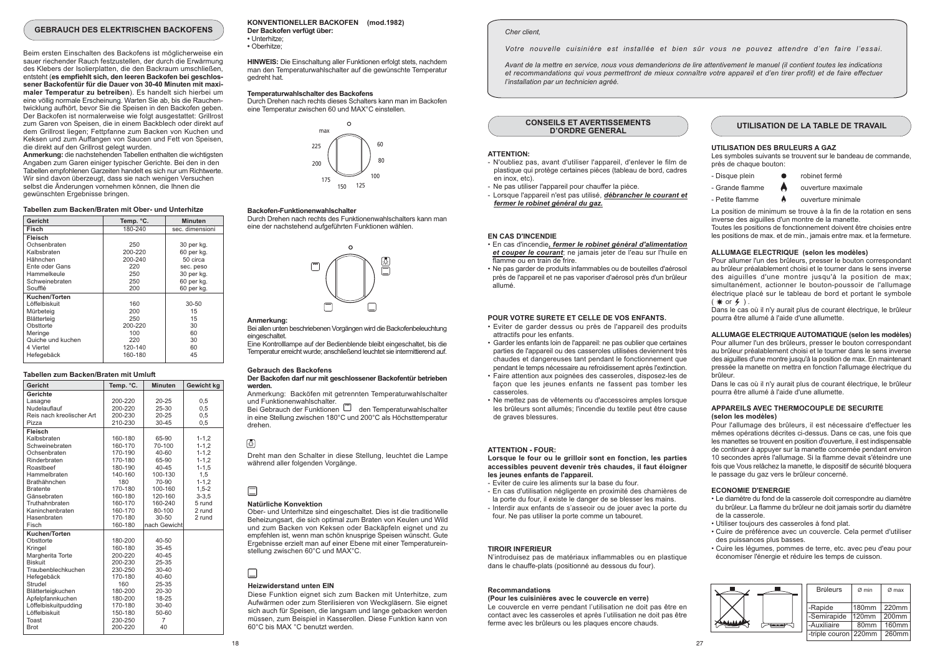#### **GEBRAUCH DES ELEKTRISCHEN BACKOFENS**

Beim ersten Einschalten des Backofens ist möglicherweise ein sauer riechender Rauch festzustellen, der durch die Erwärmung des Klebers der Isolierplatten, die den Backraum umschließen. entsteht (es empfiehlt sich, den leeren Backofen bei geschlossener Backofentür für die Dauer von 30-40 Minuten mit maximaler Temperatur zu betreiben). Es handelt sich hierbei um eine völlig normale Erscheinung. Warten Sie ab, bis die Rauchentwicklung aufhört, bevor Sie die Speisen in den Backofen geben. Der Backofen ist normalerweise wie folgt ausgestattet: Grillrost zum Garen von Speisen, die in einem Backblech oder direkt auf dem Grillrost liegen; Fettpfanne zum Backen von Kuchen und Keksen und zum Auffangen von Saucen und Fett von Speisen, die direkt auf den Grillrost gelegt wurden.

Anmerkung: die nachstehenden Tabellen enthalten die wichtigsten Angaben zum Garen einiger typischer Gerichte. Bei den in den Tabellen empfohlenen Garzeiten handelt es sich nur um Richtwerte. Wir sind davon überzeugt, dass sie nach wenigen Versuchen selbst die Änderungen vornehmen können, die Ihnen die dewünschten Fraehnisse bringen

#### Tabellen zum Backen/Braten mit Ober- und Unterhitze

| Gericht           | Temp. °C. | <b>Minuten</b>  |
|-------------------|-----------|-----------------|
| Fisch             | 180-240   | sec. dimensioni |
| Fleisch           |           |                 |
| Ochsenbraten      | 250       | 30 per kg.      |
| Kalbsbraten       | 200-220   | 60 per kg.      |
| Hähnchen          | 200-240   | 50 circa        |
| Ente oder Gans    | 220       | sec. peso       |
| Hammelkeule       | 250       | 30 per kg.      |
| Schweinebraten    | 250       | 60 per kg.      |
| Soufflé           | 200       | 60 per kg.      |
| Kuchen/Torten     |           |                 |
| Löffelbiskuit     | 160       | $30 - 50$       |
| Mürbeteig         | 200       | 15              |
| Blätterteig       | 250       | 15              |
| Obsttorte         | 200-220   | 30              |
| Meringe           | 100       | 60              |
| Quiche und kuchen | 220       | 30              |
| 4 Viertel         | 120-140   | 60              |
| Hefegebäck        | 160-180   | 45              |

#### Tabellen zum Backen/Braten mit Umluft

| Gericht                   | Temp. °C. | <b>Minuten</b> | Gewicht kg |
|---------------------------|-----------|----------------|------------|
| Gerichte                  |           |                |            |
| Lasagne                   | 200-220   | $20 - 25$      | 0,5        |
| Nudelauflauf              | 200-220   | 25-30          | 0,5        |
| Reis nach kreolischer Art | 200-230   | $20 - 25$      | 0.5        |
| Pizza                     | 210-230   | $30 - 45$      | 0.5        |
| Fleisch                   |           |                |            |
| Kalbsbraten               | 160-180   | 65-90          | $1 - 1, 2$ |
| Schweinebraten            | 160-170   | 70-100         | $1 - 1.2$  |
| Ochsenbraten              | 170-190   | $40 - 60$      | $1 - 1, 2$ |
| Rinderbraten              | 170-180   | 65-90          | $1 - 1, 2$ |
| Roastbeef                 | 180-190   | $40 - 45$      | $1 - 1, 5$ |
| Hammelbraten              | 140-160   | 100-130        | 1.5        |
| Brathähnchen              | 180       | 70-90          | $1 - 1, 2$ |
| <b>Bratente</b>           | 170-180   | 100-160        | $1,5-2$    |
| Gänsebraten               | 160-180   | 120-160        | $3 - 3.5$  |
| Truthahnbraten            | 160-170   | 160-240        | 5 rund     |
| Kaninchenbraten           | 160-170   | 80-100         | 2 rund     |
| Hasenbraten               | 170-180   | $30 - 50$      | 2 rund     |
| Fisch                     | 160-180   | nach Gewicht   |            |
| Kuchen/Torten             |           |                |            |
| Obsttorte                 | 180-200   | $40 - 50$      |            |
| Kringel                   | 160-180   | $35 - 45$      |            |
| Margherita Torte          | 200-220   | 40-45          |            |
| Biskuit                   | 200-230   | 25-35          |            |
| Traubenblechkuchen        | 230-250   | $30 - 40$      |            |
| Hefegebäck                | 170-180   | 40-60          |            |
| Strudel                   | 160       | 25-35          |            |
| Blätterteigkuchen         | 180-200   | 20-30          |            |
| Apfelpfannkuchen          | 180-200   | 18-25          |            |
| Löffelbiskuitpudding      | 170-180   | 30-40          |            |
| Löffelbiskuit             | 150-180   | 50-60          |            |
| Toast                     | 230-250   | 7              |            |
| Rrot                      | 200-220   | 40             |            |

KONVENTIONELLER BACKOFEN (mod.1982) Der Backofen verfügt über: · I Interhitze · Oberhitze:

**HINWEIS:** Die Einschaltung aller Funktionen erfolgt stets, nachdem man den Temperaturwahlschalter auf die gewünschte Temperatur gedreht hat

#### Temperaturwahlschalter des Backofens

Durch Drehen nach rechts dieses Schalters kann man im Backofen eine Temperatur zwischen 60 und MAX°C einstellen.



#### **Pookofon Eupkinnonuphlopholton**

Durch Drehen nach rechts des Funktionenwahlschalters kann man eine der nachstehend aufgeführten Funktionen wählen



#### **Anmerkung**

Bei allen unten beschriebenen Vorgängen wird die Backofenbeleuchtung hatledogenoie

Fine Kontrolllamne auf der Bedienblende bleibt eingeschaltet, bis die Temperatur erreicht wurde: anschließend leuchtet sie intermittierend auf.

#### Gebrauch des Backofens

#### Der Backofen darf nur mit geschlossener Backofentür betrieben werden.

Anmerkung: Backöfen mit getrennten Temperaturwahlschalter und Funktionenwahlschalter.<br>Bei Gebrauch der Funktionen [15] den Temperaturwahlschalter

in eine Stellung zwischen 180°C und 200°C als Höchsttemperatur drehen.

## 圆

Dreht man den Schalter in diese Stellung, leuchtet die Lampe während aller folgenden Vorgänge.

#### Natürliche Konvektion

Ober- und Unterhitze sind eingeschaltet. Dies ist die traditionelle Beheizungsart, die sich optimal zum Braten von Keulen und Wild und zum Backen von Keksen oder Backäpfeln eignet und zu empfehlen ist, wenn man schön knusprige Speisen wünscht. Gute Ergebnisse erzielt man auf einer Ebene mit einer Temperatureinstellung zwischen 60°C und MAX°C

#### **Heizwiderstand unten FIN**

Diese Funktion eignet sich zum Backen mit Unterhitze zum Aufwärmen oder zum Sterilisieren von Weckgläsern. Sie eignet sich auch für Speisen, die langsam und lange gebacken werden müssen, zum Beispiel in Kasserollen. Diese Funktion kann von 60°C bis MAX °C benutzt werden.

#### Cher client.

Votre nouvelle cuisinière est installée et bien sûr vous ne pouvez attendre d'en faire l'essai.

Avant de la mettre en service, nous vous demanderions de lire attentivement le manuel (il contient toutes les indications et recommandations qui vous permettront de mieux connaître votre appareil et d'en tirer profit) et de faire effectuer l'installation par un technicien agréé.

**CONSEILS ET AVERTISSEMENTS D'ORDRE GENERAL** 

#### **ATTENTION:**

- N'oubliez pas, avant d'utiliser l'appareil, d'enlever le film de plastique qui protège certaines pièces (tableau de bord, cadres en inox. etc).

- Ne pas utiliser l'appareil pour chauffer la pièce.
- Lorsque l'appareil n'est pas utilisé, débrancher le courant et fermer le robinet général du gaz.

#### **EN CAS D'INCENDIE**

- · En cas d'incendie, fermer le robinet général d'alimentation et couper le courant; ne jamais jeter de l'eau sur l'huile en flamme ou en train de frire
- . Ne pas garder de produits infammables ou de bouteilles d'aérosol près de l'appareil et ne pas vaporiser d'aérosol près d'un brûleur allumé

#### POUR VOTRE SURETE ET CELLE DE VOS ENFANTS.

- · Eviter de garder dessus ou près de l'appareil des produits attractifs pour les enfants.
- Garder les enfants loin de l'appareil: ne pas oublier que certaines parties de l'appareil ou des casseroles utilisées deviennent très chaudes et dangereuses tant pendant le fonctionnement que pendant le temps nécessaire au refroidissement après l'extinction.
- · Faire attention aux poignées des casseroles, disposez-les de façon que les jeunes enfants ne fassent pas tomber les casseroles.
- Ne mettez pas de vêtements ou d'accessoires amples lorsque les brûleurs sont allumés: l'incendie du textile neut être cause de graves blessures.

#### **ATTENTION - FOUR**

Lorsque le four ou le grilloir sont en fonction, les parties accessibles peuvent devenir très chaudes, il faut éloigner les jeunes enfants de l'appareil.

- Eviter de cuire les aliments sur la base du four.
- En cas d'utilisation négligente en proximité des charnières de
- la porte du four, il existe le danger de se blesser les mains.
- Interdir aux enfants de s'asseoir ou de jouer avec la porte du four. Ne pas utiliser la porte comme un tabouret.

#### **TIROIR INFERIEUR**

N'introduisez pas de matériaux inflammables ou en plastique dans le chauffe-plats (positionné au dessous du four).

#### Recommandations

#### (Pour les cuisinières avec le couvercle en verre)

Le couvercle en verre pendant l'utilisation ne doit pas être en contact avec les casseroles et après l'utilisation ne doit pas être ferme avec les brûleurs ou les plaques encore chauds.

#### UTILISATION DE LA TABLE DE TRAVAIL

#### UTILISATION DES BRULEURS A GAZ

Les symboles suivants se trouvent sur le bandeau de commande. près de chaque bouton:

- Disaue plein robinet fermé
- Grande flamme ouverture maximale
- Petite flamme ouverture minimale

La position de minimum se trouve à la fin de la rotation en sens inverse des ajquilles d'un montre de la manette.

Toutes les positions de fonctionnement doivent être choisies entre les positions de max. et de min., jamais entre max. et la fermeture.

#### ALLUMAGE ELECTRIQUE (selon les modèles)

Pour allumer l'un des brûleurs, presser le bouton correspondant au brûleur préalablement choisi et le tourner dans le sens inverse des aiguilles d'une montre jusqu'à la position de max; simultanément, actionner le bouton-poussoir de l'allumage électrique placé sur le tableau de bord et portant le symbole  $(*or 4).$ 

Dans le cas où il n'y aurait plus de courant électrique. le brûleur pourra être allumé à l'aide d'une allumette.

#### ALLUMAGE ELECTRIQUE AUTOMATIQUE (selon les modèles)

Pour allumer l'un des brûleurs, presser le bouton correspondant au brûleur préalablement choisi et le tourner dans le sens inverse des aiguilles d'une montre jusqu'à la position de max. En maintenant pressée la manette on mettra en fonction l'allumage électrique du brûleur

Dans le cas où il n'y aurait plus de courant électrique, le brûleur pourra être allumé à l'aide d'une allumette.

#### APPAREILS AVEC THERMOCOUPLE DE SECURITE (selon les modèles)

Pour l'allumage des brûleurs, il est nécessaire d'effectuer les mêmes opérations décrites ci-dessus. Dans ce cas, une fois que les manettes se trouvent en position d'ouverture, il est indispensable de continuer à appuyer sur la manette concernée pendant environ 10 secondes après l'allumage. Si la flamme devait s'éteindre une fois que Vous relâchez la manette, le dispositif de sécurité bloquera le passage du gaz vers le brûleur concerné.

#### **ECONOMIE D'ENERGIE**

- · Le diamètre du fond de la casserole doit correspondre au diamètre du brûleur. La flamme du brûleur ne doit jamais sortir du diamètre de la casserole
- · Utiliser toujours des casseroles à fond plat.
- · Cuire de préférence avec un couvercle. Cela permet d'utiliser des puissances plus basses.
- · Cuire les léqumes, pommes de terre, etc. avec peu d'eau pour économiser l'énergie et réduire les temps de cuisson.

|  | <b>Brûleurs</b>      | Ø min            | $Ø$ max |
|--|----------------------|------------------|---------|
|  | -Rapide              | 180mm            | 220mm   |
|  | -Semirapide          | 120mm            | 200mm   |
|  | -Auxiliaire          | 80 <sub>mm</sub> | 160mm   |
|  | -triple couron 220mm |                  | 260mm   |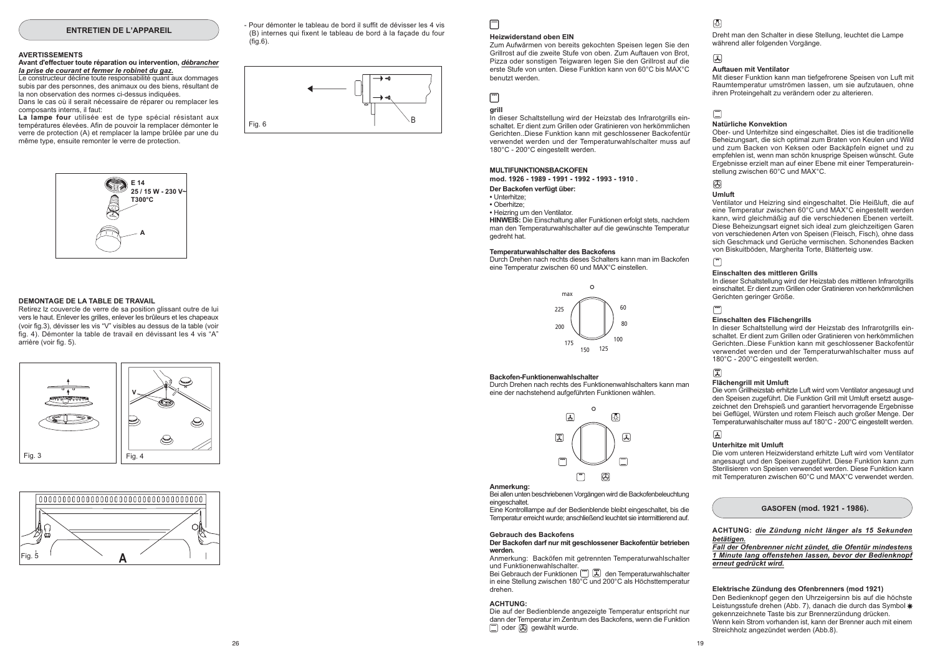#### **ENTRETIEN DE L'APPAREIL**

#### **AVERTISSEMENTS**

#### Avant d'effectuer toute réparation ou intervention, débrancher la prise de courant et fermer le robinet du gaz.

Le constructeur décline toute responsabilité quant aux dommages subis par des personnes, des animaux ou des biens, résultant de la non observation des normes ci-dessus indiquées.

Dans le cas où il serait nécessaire de réparer ou remplacer les composants interns. il faut:

La lampe four utilisée est de type spécial résistant aux températures élevées. Afin de pouvoir la remplacer démonter le verre de protection (A) et remplacer la lampe brûlée par une du même type, ensuite remonter le verre de protection.



#### DEMONTAGE DE LA TABLE DE TRAVAIL

Retirez lz couvercle de verre de sa position glissant outre de lui vers le haut. Enlever les grilles, enlever les brûleurs et les chapeaux (voir fig.3), dévisser les vis "V" visibles au dessus de la table (voir fig. 4). Démonter la table de travail en dévissant les 4 vis "A" arrière (voir fig. 5).





- Pour démonter le tableau de bord il suffit de dévisser les 4 vis (B) internes qui fixent le tableau de bord à la facade du four  $(fiq.6)$ .

# Fig. 6

#### **Heizwiderstand oben EIN**

Zum Aufwärmen von bereits gekochten Speisen legen Sie den Grillrost auf die zweite Stufe von oben. Zum Auftauen von Brot. Pizza oder sonstigen Teigwaren legen Sie den Grillrost auf die erste Stufe von unten. Diese Funktion kann von 60°C bis MAX°C honutzt worden

# $\Box$

 $\Box$ 

#### arill

In dieser Schaltstellung wird der Heizstab des Infrarotgrills einschaltet. Er dient zum Grillen oder Gratinieren von herkömmlichen Gerichten. Diese Funktion kann mit geschlossener Backofentür verwendet werden und der Temperaturwahlschalter muss auf 180°C - 200°C eingestellt werden.

#### MULTIFUNKTIONSRACKOFFN mod. 1926 - 1989 - 1991 - 1992 - 1993 - 1910.

Der Backofen verfügt über:

- · Unterhitze:
- · Oberhitze:

• Heizring um den Ventilator.

HINWEIS: Die Einschaltung aller Funktionen erfolgt stets, nachdem man den Temperaturwahlschalter auf die gewünschte Temperatur gedreht hat.

#### Temperaturwahlschalter des Backofens

Durch Drehen nach rechts dieses Schalters kann man im Backofen eine Temperatur zwischen 60 und MAX°C einstellen



#### Backofen-Funktionenwahlschalter

Durch Drehen nach rechts des Funktionenwahlschalters kann man eine der nachstehend aufgeführten Funktionen wählen.



#### Anmerkung:

Bei allen unten beschriebenen Vorgängen wird die Backofenbeleuchtung eingeschaltet.

Eine Kontrolllampe auf der Bedienblende bleibt eingeschaltet, bis die Temperatur erreicht wurde; anschließend leuchtet sie intermittierend auf.

#### Gebrauch des Backofens

#### Der Backofen darf nur mit geschlossener Backofentür betrieben werden.

Anmerkung: Backöfen mit getrennten Temperaturwahlschalter und Funktionenwahlschalter. Bei Gebrauch der Funktionen (E) (E) den Temperaturwahlschalter

in eine Stellung zwischen 180°C und 200°C als Höchsttemperatur drehen

#### **ACHTUNG:**

Die auf der Bedienblende angezeigte Temperatur entspricht nur dann der Temperatur im Zentrum des Backofens, wenn die Funktion oder @ gewählt wurde.

# 國

Dreht man den Schalter in diese Stellung, leuchtet die Lampe während aller folgenden Vorgänge.

#### 国

#### **Auftauen mit Ventilator**

Mit dieser Funktion kann man tiefgefrorene Speisen von Luft mit Raumtemperatur umströmen lassen, um sie aufzutauen, ohne ihren Proteingehalt zu verändern oder zu alterieren.

# $\Box$

#### Natürliche Konvektion

Ober- und Unterhitze sind eingeschaltet. Dies ist die traditionelle Beheizungsart, die sich optimal zum Braten von Keulen und Wild und zum Backen von Keksen oder Backäpfeln eignet und zu empfehlen ist, wenn man schön knusprige Speisen wünscht. Gute Ergebnisse erzielt man auf einer Ebene mit einer Temperatureinstellung zwischen 60°C und MAX°C.

# ⋒

#### **Umluft**

Ventilator und Heizring sind eingeschaltet. Die Heißluft, die auf eine Temperatur zwischen 60°C und MAX°C eingestellt werden kann, wird gleichmäßig auf die verschiedenen Ebenen verteilt. Diese Beheizungsart eignet sich ideal zum gleichzeitigen Garen von verschiedenen Arten von Speisen (Fleisch, Fisch) ohne dass sich Geschmack und Gerüche vermischen. Schonendes Backen von Biskuitböden, Margherita Torte, Blätterteig usw.

#### Einschalten des mittleren Grills

In dieser Schaltstellung wird der Heizstab des mittleren Infrarotgrills einschaltet. Er dient zum Grillen oder Gratinieren von herkömmlichen Gerichten geringer Größe.

#### $\sqrt{2}$

#### Einschalten des Flächengrills

In dieser Schaltstellung wird der Heizstab des Infrarotgrills einschaltet. Er dient zum Grillen oder Gratinieren von herkömmlichen Gerichten. Diese Funktion kann mit geschlossener Backofentür verwendet werden und der Temperaturwahlschalter muss auf 180°C - 200°C eingestellt werden.

# $\mathbb{Z}$

#### Flächengrill mit Umluft

Die vom Grillheizstab erhitzte Luft wird vom Ventilator angesaugt und den Speisen zugeführt. Die Funktion Grill mit Umluft ersetzt ausgezeichnet den Drehspieß und garantiert hervorragende Ergebnisse bei Geflügel. Würsten und rotem Fleisch auch großer Menge. Der Temperaturwahlschalter muss auf 180°C - 200°C eingestellt werden.

#### 国

#### **Unterhitze mit Umluft**

Die vom unteren Heizwiderstand erhitzte Luft wird vom Ventilator angesaugt und den Speisen zugeführt. Diese Funktion kann zum Sterilisieren von Speisen verwendet werden. Diese Funktion kann mit Temperaturen zwischen 60°C und MAX°C verwendet werden.

#### GASOFEN (mod. 1921 - 1986).

#### ACHTUNG: die Zündung nicht länger als 15 Sekunden betätigen.

Fall der Ofenbrenner nicht zündet, die Ofentür mindestens 1 Minute lang offenstehen lassen, bevor der Bedienknopf erneut gedrückt wird.

#### Elektrische Zündung des Ofenbrenners (mod 1921)

Den Bedienknopf gegen den Uhrzeigersinn bis auf die höchste Leistungsstufe drehen (Abb. 7), danach die durch das Symbol \* gekennzeichnete Taste bis zur Brennerzündung drücken. Wenn kein Strom vorhanden ist, kann der Brenner auch mit einem Streichholz angezündet werden (Abb.8).

26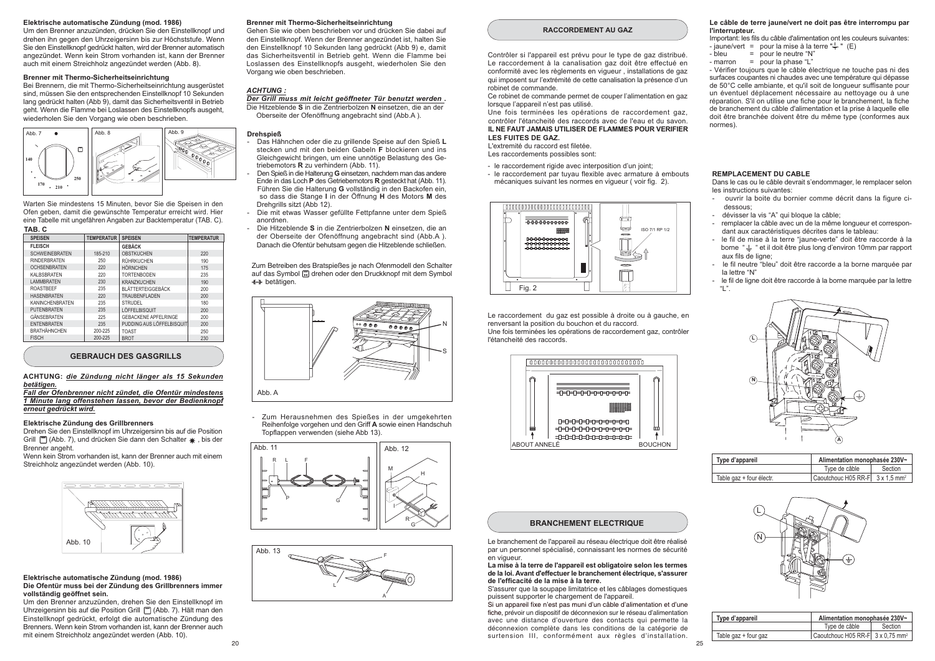#### Elektrische automatische Zündung (mod. 1986)

Um den Brenner anzuzünden, drücken Sie den Einstellknopf und drehen ihn gegen den Uhrzeigersinn bis zur Höchststufe. Wenn Sie den Einstellknopf gedrückt halten, wird der Brenner automatisch angezündet. Wenn kein Strom vorhanden ist, kann der Brenner auch mit einem Streichholz angezündet werden (Abb. 8).

#### Brenner mit Thermo-Sicherheitseinrichtung

Bei Brennern, die mit Thermo-Sicherheitseinrichtung ausgerüstet sind, müssen Sie den entsprechenden Einstellknopf 10 Sekunden lang gedrückt halten (Abb 9), damit das Sicherheitsventil in Betrieb geht. Wenn die Flamme bei Loslassen des Einstellknopfs ausgeht. wiederholen Sie den Vorgang wie oben beschrieben.



Warten Sie mindestens 15 Minuten, bevor Sie die Speisen in den Ofen geben, damit die gewünschte Temperatur erreicht wird. Hier eine Tabelle mit ungefähren Angaben zur Backtemperatur (TAB, C).

| TAB. C                 |                   |                             |                   |
|------------------------|-------------------|-----------------------------|-------------------|
| <b>SPEISEN</b>         | <b>TEMPERATUR</b> | <b>SPEISEN</b>              | <b>TEMPERATUR</b> |
| <b>FLEISCH</b>         |                   | <b>GEBÄCK</b>               |                   |
| <b>SCHWEINEBRATEN</b>  | 185-210           | <b>OBSTKUCHEN</b>           | 220               |
| <b>RINDERBRATEN</b>    | 250               | RÜHRKUCHEN                  | 190               |
| <b>OCHSENBRATEN</b>    | 220               | <b>HÖRNCHEN</b>             | 175               |
| <b>KALBSBRATEN</b>     | 220               | <b>TORTENBODEN</b>          | 235               |
| <b>LAMMBRATEN</b>      | 230               | <b>KRANZKUCHEN</b>          | 190               |
| <b>ROASTBEEF</b>       | 235               | <b>BLÄTTERTEIGGEBÄCK</b>    | 200               |
| <b>HASENBRATEN</b>     | 220               | TRAUBENFLADEN               | 200               |
| <b>KANINCHENBRATEN</b> | 235               | STRUDEL                     | 180               |
| PUTENBRATEN            | 235               | LÖFFELBISQUIT               | 200               |
| GÄNSEBRATEN            | 225               | <b>GEBACKENE APFELRINGE</b> | 200               |
| <b>ENTENBRATEN</b>     | 235               | PUDDING AUS LÖFFELBISQUIT   | 200               |
| <b>BRATHÄHNCHEN</b>    | 200-225           | <b>TOAST</b>                | 250               |
| <b>FISCH</b>           | 200-225           | <b>BROT</b>                 | 230               |

#### **GEBRAUCH DES GASGRILLS**

#### ACHTUNG: die Zündung nicht länger als 15 Sekunden betätigen.

Fall der Ofenbrenner nicht zündet, die Ofentür mindestens 1 Minute lang offenstehen lassen, bevor der Bedienknopf erneut gedrückt wird.

#### Elektrische Zündung des Grillbrenners

Drehen Sie den Einstellknopf im Uhrzeigersinn bis auf die Position Grill [m] (Abb. 7), und drücken Sie dann den Schalter \*, bis der Brenner angeht

Wenn kein Strom vorhanden ist kann der Brenner auch mit einem Streichholz angezündet werden (Abb. 10).



#### Elektrische automatische Zündung (mod. 1986) Die Ofentür muss bei der Zündung des Grillbrenners immer vollständig geöffnet sein.

Um den Brenner anzuzünden, drehen Sie den Einstellknopf im Uhrzeigersinn bis auf die Position Grill [7] (Abb. 7). Hält man den Einstellknopf gedrückt, erfolgt die automatische Zündung des Brenners. Wenn kein Strom vorhanden ist, kann der Brenner auch mit einem Streichholz angezündet werden (Abb 10)

#### Brenner mit Thermo-Sicherheitseinrichtung

Gehen Sie wie oben beschrieben vor und drücken Sie dabei auf den Einstellknopf. Wenn der Brenner angezündet ist, halten Sie den Einstellknopf 10 Sekunden lang gedrückt (Abb 9) e. damit das Sicherheitsventil in Betrieb geht. Wenn die Flamme bei Loslassen des Einstellknopfs ausgeht, wiederholen Sie den Vorgang wie oben beschrieben.

#### **ACHTUNG:**

Der Grill muss mit leicht geöffneter Tür benutzt werden. Die Hitzeblende S in die Zentrierbolzen N einsetzen, die an der Oberseite der Ofenöffnung angebracht sind (Abb.A).

#### **Drehspieß**

- Das Hähnchen oder die zu grillende Speise auf den Spieß L stecken und mit den beiden Gabeln F blockieren und ins Gleichgewicht bringen, um eine unnötige Belastung des Getriebemotors R zu verhindern (Abb. 11).
- Den Spieß in die Halterung G einsetzen, nachdem man das andere Ende in das Loch P des Getriebemotors R gesteckt hat (Abb. 11). Führen Sie die Halterung G vollständig in den Backofen ein. so dass die Stange I in der Öffnung H des Motors M des Dreharills sitzt (Abb 12).
- Die mit etwas Wasser gefüllte Fettpfanne unter dem Spieß anordnen
- Die Hitzeblende S in die Zentrierbolzen N einsetzen, die an der Oberseite der Ofenöffnung angebracht sind (Abb.A). Danach die Ofentür behutsam gegen die Hitzeblende schließen.

Zum Betreiben des Bratspießes ie nach Ofenmodell den Schalter auf das Symbol [5] drehen oder den Druckknopf mit dem Symbol **← betätigen**.



- Zum Herausnehmen des Spießes in der umgekehrten Reihenfolge vorgehen und den Griff A sowie einen Handschuh Topflappen verwenden (siehe Abb 13).





#### **RACCORDEMENT AU GAZ**

Contrôler si l'appareil est prévu pour le type de gaz distribué. Le raccordement à la canalisation gaz doit être effectué en conformité avec les règlements en vigueur, installations de gaz qui imposent sur l'extrémité de cette canalisation la présence d'un robinet de commande.

Ce robinet de commande permet de couper l'alimentation en gaz lorsque l'appareil n'est pas utilisé.

Une fois terminées les opérations de raccordement gaz contrôler l'étancheité des raccords avec de l'eau et du savon. IL NE FAUT JAMAIS UTILISER DE FLAMMES POUR VERIFIER LES FUITES DE GAZ.

L'extremité du raccord est filetée

- Les raccordements possibles sont:
- le raccordement rigide avec interposition d'un joint;
- le raccordement par tuyau flexible avec armature à embouts mécaniques suivant les normes en viqueur (voir fig. 2).



Le raccordement du gaz est possible à droite ou à gauche, en renversant la position du bouchon et du raccord. Une fois terminées les opérations de raccordement gaz, contrôler l'étancheité des raccords.



#### **BRANCHEMENT ELECTRIQUE**

Le branchement de l'appareil au réseau électrique doit être réalisé par un personnel spécialisé, connaissant les normes de sécurité en vigueur.

#### La mise à la terre de l'appareil est obligatoire selon les termes de la loi. Avant d'effectuer le branchement électrique, s'assurer de l'efficacité de la mise à la terre

S'assurer que la soupape limitatrice et les câblages domestiques puissent supporter le chargement de l'appareil.

Si un appareil fixe n'est pas muni d'un câble d'alimentation et d'une fiche, prévoir un dispositif de déconnexion sur le réseau d'alimentation avec une distance d'ouverture des contacts qui permette la déconnexion complète dans les conditions de la catégorie de surtension III. conformément aux règles d'installation.

#### Le câble de terre jaune/vert ne doit pas être interrompu par l'interrupteur.

Important: les fils du câble d'alimentation ont les couleurs suivantes : - iaune/vert = pour la mise à la terre " $\stackrel{!}{=}$ " (E)

- $=$  pour le neutre "N"  $-$  blou
- marron  $=$  pour la phase "L"

- Vérifier toujours que le câble électrique ne touche pas ni des surfaces coupantes ni chaudes avec une température qui dépasse de 50°C celle ambiante, et qu'il soit de longueur suffisante pour un éventuel déplacement nécessaire au nettovage ou à une réparation. S'il on utilise une fiche pour le branchement. la fiche de branchement du câble d'alimentation et la prise à laquelle elle doit être branchée doivent être du même type (conformes aux  $normes)$ 

#### **REMPLACEMENT DU CABLE**

Dans le cas ou le câble devrait s'endommager, le remplacer selon les instructions suivantes:

- ouvrir la boite du bornier comme décrit dans la figure cidessous
- dévisser la vis "A" qui bloque la câble:
- remplacer la câble avec un de la même longueur et correspondant aux caractéristiques décrites dans le tableau:
- le fil de mise à la terre "jaune-verte" doit être raccorde à la borne " $\stackrel{.}{=}$  " et il doit être plus long d'environ 10mm par rapport aux fils de ligner
- le fil neutre "bleu" doit être raccorde a la borne marquée par la lettre "N"
- le fil de ligne doit être raccorde à la borne marquée par la lettre  $\mathbf{u}$   $\mathbf{n}$



| Type d'appareil          | Alimentation monophasée 230V~               |         |  |
|--------------------------|---------------------------------------------|---------|--|
|                          | Type de câble                               | Section |  |
| Table gaz + four électr. | Caoutchouc H05 RR-F 3 x 1.5 mm <sup>2</sup> |         |  |



| Type d'appareil      | Alimentation monophasée 230V~                |         |
|----------------------|----------------------------------------------|---------|
|                      | Type de câble                                | Section |
| Table gaz + four gaz | Caoutchouc H05 RR-F 3 x 0.75 mm <sup>2</sup> |         |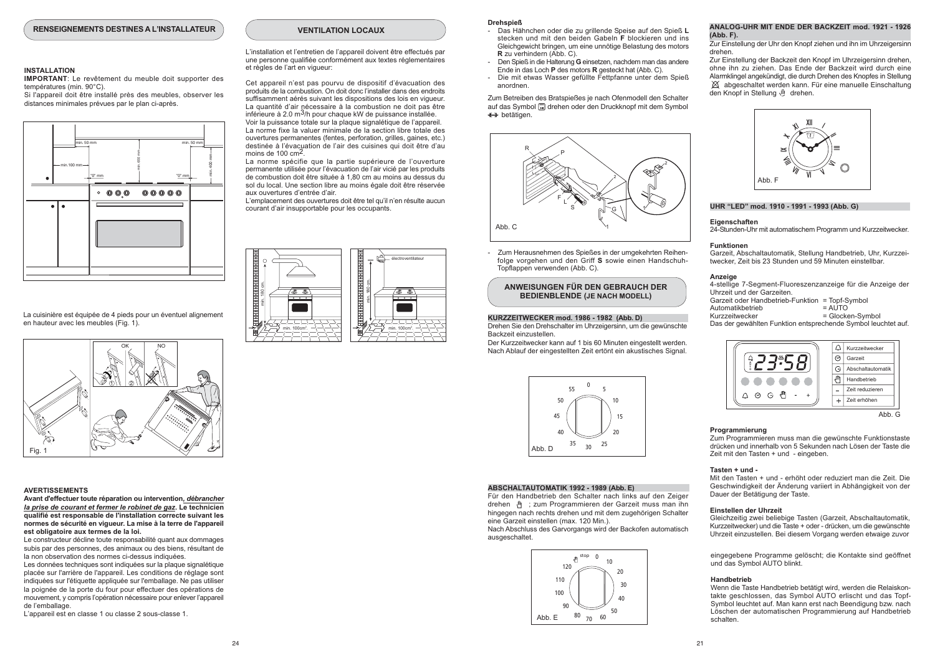#### **INSTALLATION**

IMPORTANT: Le revêtement du meuble doit supporter des températures (min. 90°C).

Si l'annareil doit être installé près des meubles observer les distances minimales prévues par le plan ci-après.



La cuisinière est équipée de 4 pieds pour un éventuel alignement en hauteur avec les meubles (Fig. 1).



#### **AVERTISSEMENTS**

Avant d'effectuer toute réparation ou intervention, débrancher la prise de courant et fermer le robinet de gaz. Le technicien qualifié est responsable de l'installation correcte suivant les normes de sécurité en vigueur. La mise à la terre de l'appareil est obligatoire aux termes de la loi.

Le constructeur décline toute responsabilité quant aux dommages subis par des personnes, des animaux ou des biens, résultant de la non observation des normes ci-dessus indiquées

Les données techniques sont indiquées sur la plaque signalétique placée sur l'arrière de l'appareil. Les conditions de réglage sont indiquées sur l'étiquette appliquée sur l'emballage. Ne pas utiliser la poignée de la porte du four pour effectuer des opérations de mouvement y compris l'opération nécessaire pour enlever l'appareil de l'emballage

L'appareil est en classe 1 ou classe 2 sous-classe 1.

## **VENTILATION LOCAUX**

L'installation et l'entretien de l'appareil doivent être effectués par une personne qualifiée conformément aux textes réglementaires et règles de l'art en viqueur:

Cet appareil n'est pas pourvu de dispositif d'évacuation des produits de la combustion. On doit donc l'installer dans des endroits suffisamment aérés suivant les dispositions des lois en viqueur. La quantité d'air nécessaire à la combustion ne doit pas être inférieure à 2.0  $m^3$ /h pour chaque kW de puissance installée. Voir la puissance totale sur la plaque signalétique de l'appareil. La norme fixe la valuer minimale de la section libre totale des ouvertures permanentes (fentes, perforation, grilles, gaines, etc.) destinée à l'évacuation de l'air des cuisines qui doit être d'au moins de 100  $\text{cm}^2$ .

La norme spécifie que la partie supérieure de l'ouverture permanente utilisée pour l'évacuation de l'air vicié par les produits de combustion doit être située à 1.80 cm au moins au dessus du sol du local. Une section libre au moins égale doit être réservée aux ouvertures d'entrée d'air.

l'emplacement des ouvertures doit être tel qu'il n'en résulte aucun courant d'air insupportable pour les occupants.



#### **Drehsnieß**

- Das Hähnchen oder die zu grillende Speise auf den Spieß L stacken und mit den heiden Gaheln E blockieren und ins Gleichgewicht bringen, um eine unnötige Belastung des motors R zu verhindern (Abb. C).
- Den Spieß in die Halterung G einsetzen, nachdem man das andere Ende in das Loch P des motors R gesteckt hat (Abb. C).
- Die mit etwas Wasser gefüllte Fettpfanne unter dem Spieß anordnen

Zum Betreiben des Bratspießes ie nach Ofenmodell den Schalter auf das Symbol [4] drehen oder den Druckknopf mit dem Symbol  $\leftrightarrow$  betätigen.



Zum Herausnehmen des Spießes in der umgekehrten Reihenfolge vorgehen und den Griff S sowie einen Handschuh-Topflappen verwenden (Abb. C).

ANWEISUNGEN FÜR DEN GEBRAUCH DER **BEDIENBLENDE (JE NACH MODELL)** 

#### KURZZEITWECKER mod. 1986 - 1982 (Abb. D)

Drehen Sie den Drehschalter im Uhrzeigersinn, um die gewünschte Backzeit einzustellen

Der Kurzzeitwecker kann auf 1 bis 60 Minuten eingestellt werden. Nach Ablauf der eingestellten Zeit ertönt ein akustisches Signal.



#### ABSCHALTAUTOMATIK 1992 - 1989 (Abb. E)

Für den Handbetrieb den Schalter nach links auf den Zeiger drehen (4) : zum Programmieren der Garzeit muss man ihn hingegen nach rechts drehen und mit dem zugehörigen Schalter eine Garzeit einstellen (max. 120 Min.).

Nach Abschluss des Garvorgangs wird der Backofen automatisch ausgeschaltet.



#### ANALOG-UHR MIT FNDE DER BACKZEIT mod 1921 - 1926 (Abb. F).

Zur Einstellung der Uhr den Knopf ziehen und ihn im Uhrzeigersinn drahan

Zur Finstellung der Backzeit den Knopf im Uhrzeigersinn drehen ohne ihn zu ziehen. Das Ende der Backzeit wird durch eine Alarmklingel angekündigt, die durch Drehen des Knopfes in Stellung  $\chi$  abgeschaltet werden kann. Für eine manuelle Einschaltung den Knopf in Stellung III drehen.



#### UHR "LED" mod. 1910 - 1991 - 1993 (Abb. G)

#### Eigenschaften 24-Stunden-Uhr mit automatischem Programm und Kurzzeitwecker.

**Funktionen** Garzeit Abschaltautomatik Stellung Handbetrieb Uhr Kurzzeitwecker 7eit his 23 Stunden und 59 Minuten einstellbar

#### Anzeige

4-stellige 7-Segment-Fluoreszenzanzeige für die Anzeige der Uhrzeit und der Garzeiten. Garzeit oder Handbetrieb-Funktion = Topf-Symbol **Automotivhotrich**  $= \Delta I$ 

Kurzzeitwecker = Glocken-Symbol

Das der gewählten Funktion entsprechende Symbol leuchtet auf.



#### Programmierung

Zum Programmieren muss man die gewünschte Funktionstaste drücken und innerhalb von 5 Sekunden nach Lösen der Taste die Zeit mit den Tasten + und - eingeben.

#### Tasten + und -

Mit den Tasten + und - erhöht oder reduziert man die Zeit. Die Geschwindigkeit der Änderung varijert in Abhängigkeit von der Dauer der Betätigung der Taste.

#### Finstellen der Uhrzeit

Gleichzeitig zwei beliebige Tasten (Garzeit, Abschaltautomatik, Kurzzeitwecker) und die Taste + oder - drücken, um die gewünschte Uhrzeit einzustellen. Bei diesem Vorgang werden etwaige zuvor

eingegebene Programme gelöscht; die Kontakte sind geöffnet und das Symbol AUTO blinkt

#### Handbetrieb

Wenn die Taste Handbetrieb betätigt wird, werden die Relaiskontakte geschlossen, das Symbol AUTO erlischt und das Topf-Symbol leuchtet auf. Man kann erst nach Beendigung bzw. nach Löschen der automatischen Programmierung auf Handbetrieb schalten.